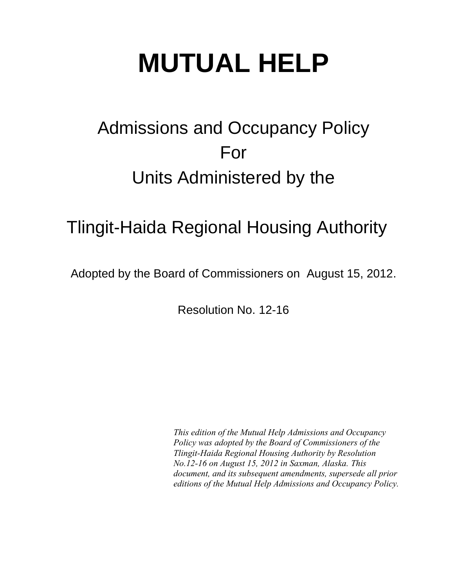# **MUTUAL HELP**

## Admissions and Occupancy Policy For Units Administered by the

### Tlingit-Haida Regional Housing Authority

Adopted by the Board of Commissioners on August 15, 2012.

Resolution No. 12-16

*This edition of the Mutual Help Admissions and Occupancy Policy was adopted by the Board of Commissioners of the Tlingit-Haida Regional Housing Authority by Resolution No.12-16 on August 15, 2012 in Saxman, Alaska. This document, and its subsequent amendments, supersede all prior editions of the Mutual Help Admissions and Occupancy Policy.*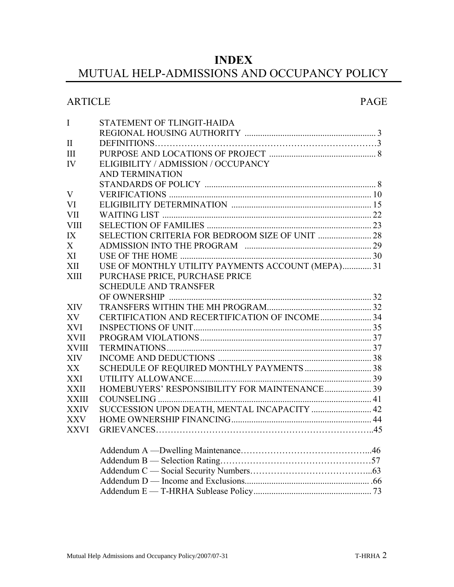#### **INDEX**

### MUTUAL HELP-ADMISSIONS AND OCCUPANCY POLICY

#### ARTICLE PAGE

| $\mathbf I$  | STATEMENT OF TLINGIT-HAIDA                        |  |
|--------------|---------------------------------------------------|--|
|              |                                                   |  |
| $\mathbf{I}$ |                                                   |  |
| III          |                                                   |  |
| <b>IV</b>    | ELIGIBILITY / ADMISSION / OCCUPANCY               |  |
|              | <b>AND TERMINATION</b>                            |  |
|              |                                                   |  |
| V            |                                                   |  |
| VI           |                                                   |  |
| <b>VII</b>   |                                                   |  |
| <b>VIII</b>  |                                                   |  |
| IX           |                                                   |  |
| X            |                                                   |  |
| XI           |                                                   |  |
| XII          | USE OF MONTHLY UTILITY PAYMENTS ACCOUNT (MEPA) 31 |  |
| <b>XIII</b>  | PURCHASE PRICE, PURCHASE PRICE                    |  |
|              | <b>SCHEDULE AND TRANSFER</b>                      |  |
|              |                                                   |  |
| <b>XIV</b>   |                                                   |  |
| XV           | CERTIFICATION AND RECERTIFICATION OF INCOME 34    |  |
| <b>XVI</b>   |                                                   |  |
| <b>XVII</b>  |                                                   |  |
| <b>XVIII</b> |                                                   |  |
| <b>XIV</b>   |                                                   |  |
| XX           | SCHEDULE OF REQUIRED MONTHLY PAYMENTS  38         |  |
| <b>XXI</b>   |                                                   |  |
| <b>XXII</b>  | HOMEBUYERS' RESPONSIBILITY FOR MAINTENANCE 39     |  |
| <b>XXIII</b> |                                                   |  |
| <b>XXIV</b>  | SUCCESSION UPON DEATH, MENTAL INCAPACITY  42      |  |
| <b>XXV</b>   |                                                   |  |
| <b>XXVI</b>  |                                                   |  |
|              |                                                   |  |
|              |                                                   |  |
|              |                                                   |  |
|              |                                                   |  |
|              |                                                   |  |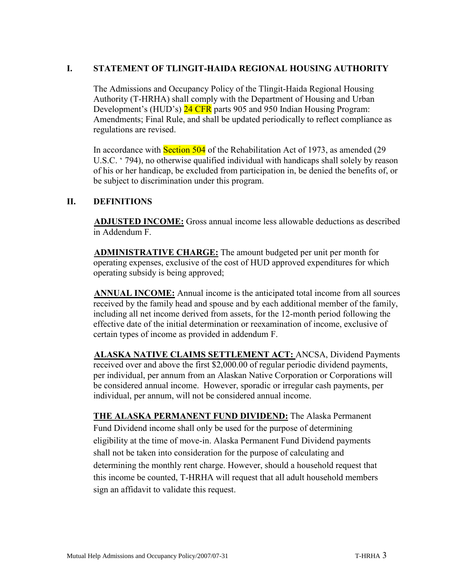#### **I. STATEMENT OF TLINGIT-HAIDA REGIONAL HOUSING AUTHORITY**

The Admissions and Occupancy Policy of the Tlingit-Haida Regional Housing Authority (T-HRHA) shall comply with the Department of Housing and Urban Development's (HUD's) 24 CFR parts 905 and 950 Indian Housing Program: Amendments; Final Rule, and shall be updated periodically to reflect compliance as regulations are revised.

In accordance with **Section 504** of the Rehabilitation Act of 1973, as amended (29) U.S.C. ' 794), no otherwise qualified individual with handicaps shall solely by reason of his or her handicap, be excluded from participation in, be denied the benefits of, or be subject to discrimination under this program.

#### **II. DEFINITIONS**

**ADJUSTED INCOME:** Gross annual income less allowable deductions as described in Addendum F.

**ADMINISTRATIVE CHARGE:** The amount budgeted per unit per month for operating expenses, exclusive of the cost of HUD approved expenditures for which operating subsidy is being approved;

**ANNUAL INCOME:** Annual income is the anticipated total income from all sources received by the family head and spouse and by each additional member of the family, including all net income derived from assets, for the 12-month period following the effective date of the initial determination or reexamination of income, exclusive of certain types of income as provided in addendum F.

**ALASKA NATIVE CLAIMS SETTLEMENT ACT:** ANCSA, Dividend Payments received over and above the first \$2,000.00 of regular periodic dividend payments, per individual, per annum from an Alaskan Native Corporation or Corporations will be considered annual income. However, sporadic or irregular cash payments, per individual, per annum, will not be considered annual income.

**THE ALASKA PERMANENT FUND DIVIDEND:** The Alaska Permanent Fund Dividend income shall only be used for the purpose of determining eligibility at the time of move-in. Alaska Permanent Fund Dividend payments shall not be taken into consideration for the purpose of calculating and determining the monthly rent charge. However, should a household request that this income be counted, T-HRHA will request that all adult household members sign an affidavit to validate this request.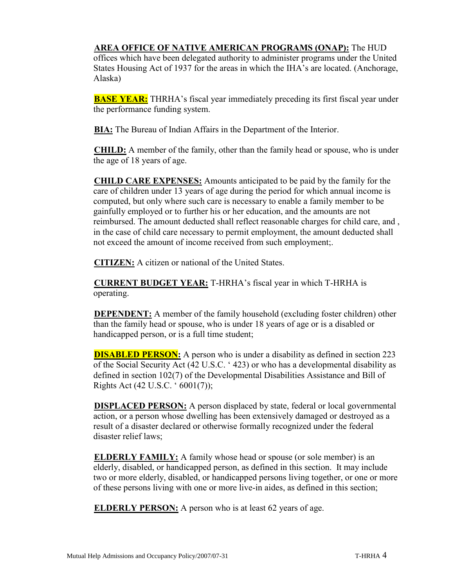#### **AREA OFFICE OF NATIVE AMERICAN PROGRAMS (ONAP):** The HUD

offices which have been delegated authority to administer programs under the United States Housing Act of 1937 for the areas in which the IHA's are located. (Anchorage, Alaska)

**BASE YEAR:** THRHA's fiscal year immediately preceding its first fiscal year under the performance funding system.

**BIA:** The Bureau of Indian Affairs in the Department of the Interior.

**CHILD:** A member of the family, other than the family head or spouse, who is under the age of 18 years of age.

**CHILD CARE EXPENSES:** Amounts anticipated to be paid by the family for the care of children under 13 years of age during the period for which annual income is computed, but only where such care is necessary to enable a family member to be gainfully employed or to further his or her education, and the amounts are not reimbursed. The amount deducted shall reflect reasonable charges for child care, and , in the case of child care necessary to permit employment, the amount deducted shall not exceed the amount of income received from such employment;.

**CITIZEN:** A citizen or national of the United States.

**CURRENT BUDGET YEAR:** T-HRHA's fiscal year in which T-HRHA is operating.

**DEPENDENT:** A member of the family household (excluding foster children) other than the family head or spouse, who is under 18 years of age or is a disabled or handicapped person, or is a full time student;

**DISABLED PERSON:** A person who is under a disability as defined in section 223 of the Social Security Act (42 U.S.C. ' 423) or who has a developmental disability as defined in section 102(7) of the Developmental Disabilities Assistance and Bill of Rights Act (42 U.S.C. ' 6001(7));

**DISPLACED PERSON:** A person displaced by state, federal or local governmental action, or a person whose dwelling has been extensively damaged or destroyed as a result of a disaster declared or otherwise formally recognized under the federal disaster relief laws;

**ELDERLY FAMILY:** A family whose head or spouse (or sole member) is an elderly, disabled, or handicapped person, as defined in this section. It may include two or more elderly, disabled, or handicapped persons living together, or one or more of these persons living with one or more live-in aides, as defined in this section;

**ELDERLY PERSON:** A person who is at least 62 years of age.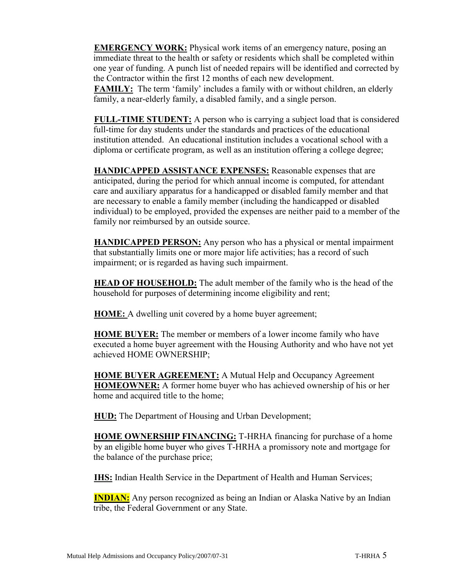**EMERGENCY WORK:** Physical work items of an emergency nature, posing an immediate threat to the health or safety or residents which shall be completed within one year of funding. A punch list of needed repairs will be identified and corrected by the Contractor within the first 12 months of each new development. **FAMILY:** The term 'family' includes a family with or without children, an elderly family, a near-elderly family, a disabled family, and a single person.

**FULL-TIME STUDENT:** A person who is carrying a subject load that is considered full-time for day students under the standards and practices of the educational institution attended. An educational institution includes a vocational school with a diploma or certificate program, as well as an institution offering a college degree;

**HANDICAPPED ASSISTANCE EXPENSES:** Reasonable expenses that are anticipated, during the period for which annual income is computed, for attendant care and auxiliary apparatus for a handicapped or disabled family member and that are necessary to enable a family member (including the handicapped or disabled individual) to be employed, provided the expenses are neither paid to a member of the family nor reimbursed by an outside source.

**HANDICAPPED PERSON:** Any person who has a physical or mental impairment that substantially limits one or more major life activities; has a record of such impairment; or is regarded as having such impairment.

**HEAD OF HOUSEHOLD:** The adult member of the family who is the head of the household for purposes of determining income eligibility and rent;

**HOME:** A dwelling unit covered by a home buyer agreement;

**HOME BUYER:** The member or members of a lower income family who have executed a home buyer agreement with the Housing Authority and who have not yet achieved HOME OWNERSHIP;

**HOME BUYER AGREEMENT:** A Mutual Help and Occupancy Agreement **HOMEOWNER:** A former home buyer who has achieved ownership of his or her home and acquired title to the home;

**HUD:** The Department of Housing and Urban Development;

**HOME OWNERSHIP FINANCING:** T-HRHA financing for purchase of a home by an eligible home buyer who gives T-HRHA a promissory note and mortgage for the balance of the purchase price;

**IHS:** Indian Health Service in the Department of Health and Human Services;

**INDIAN:** Any person recognized as being an Indian or Alaska Native by an Indian tribe, the Federal Government or any State.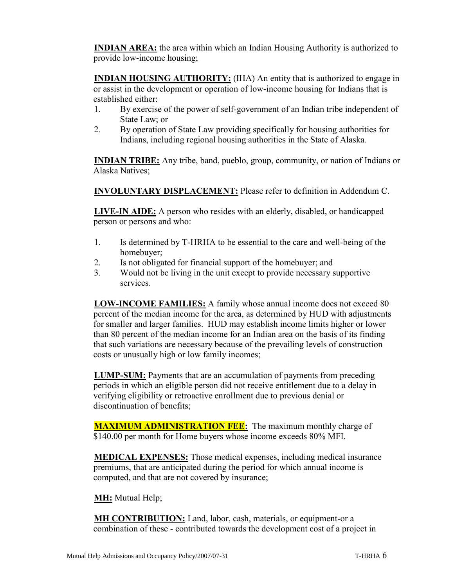**INDIAN AREA:** the area within which an Indian Housing Authority is authorized to provide low-income housing;

**INDIAN HOUSING AUTHORITY:** (IHA) An entity that is authorized to engage in or assist in the development or operation of low-income housing for Indians that is established either:

- 1. By exercise of the power of self-government of an Indian tribe independent of State Law; or
- 2. By operation of State Law providing specifically for housing authorities for Indians, including regional housing authorities in the State of Alaska.

**INDIAN TRIBE:** Any tribe, band, pueblo, group, community, or nation of Indians or Alaska Natives;

**INVOLUNTARY DISPLACEMENT:** Please refer to definition in Addendum C.

**LIVE-IN AIDE:** A person who resides with an elderly, disabled, or handicapped person or persons and who:

- 1. Is determined by T-HRHA to be essential to the care and well-being of the homebuyer;
- 2. Is not obligated for financial support of the homebuyer; and
- 3. Would not be living in the unit except to provide necessary supportive services.

**LOW-INCOME FAMILIES:** A family whose annual income does not exceed 80 percent of the median income for the area, as determined by HUD with adjustments for smaller and larger families. HUD may establish income limits higher or lower than 80 percent of the median income for an Indian area on the basis of its finding that such variations are necessary because of the prevailing levels of construction costs or unusually high or low family incomes;

**LUMP-SUM:** Payments that are an accumulation of payments from preceding periods in which an eligible person did not receive entitlement due to a delay in verifying eligibility or retroactive enrollment due to previous denial or discontinuation of benefits;

**MAXIMUM ADMINISTRATION FEE:** The maximum monthly charge of \$140.00 per month for Home buyers whose income exceeds 80% MFI.

**MEDICAL EXPENSES:** Those medical expenses, including medical insurance premiums, that are anticipated during the period for which annual income is computed, and that are not covered by insurance;

**MH:** Mutual Help;

**MH CONTRIBUTION:** Land, labor, cash, materials, or equipment-or a combination of these - contributed towards the development cost of a project in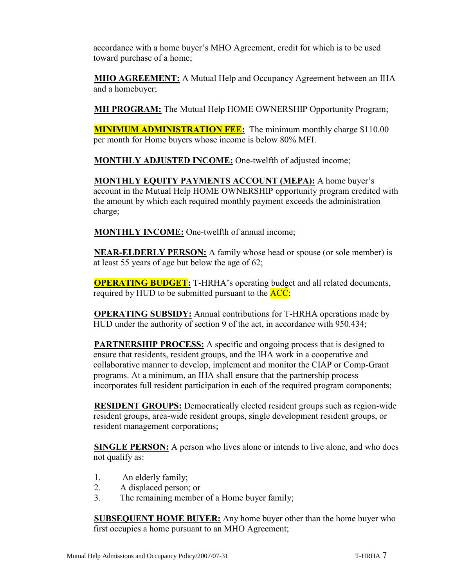accordance with a home buyer's MHO Agreement, credit for which is to be used toward purchase of a home;

**MHO AGREEMENT:** A Mutual Help and Occupancy Agreement between an IHA and a homebuyer;

**MH PROGRAM:** The Mutual Help HOME OWNERSHIP Opportunity Program;

**MINIMUM ADMINISTRATION FEE:** The minimum monthly charge \$110.00 per month for Home buyers whose income is below 80% MFI.

**MONTHLY ADJUSTED INCOME:** One-twelfth of adjusted income;

**MONTHLY EQUITY PAYMENTS ACCOUNT (MEPA):** A home buyer's account in the Mutual Help HOME OWNERSHIP opportunity program credited with the amount by which each required monthly payment exceeds the administration charge;

**MONTHLY INCOME:** One-twelfth of annual income;

**NEAR-ELDERLY PERSON:** A family whose head or spouse (or sole member) is at least 55 years of age but below the age of 62;

**OPERATING BUDGET:** T-HRHA's operating budget and all related documents, required by HUD to be submitted pursuant to the  $\overline{ACC}$ ;

**OPERATING SUBSIDY:** Annual contributions for T-HRHA operations made by HUD under the authority of section 9 of the act, in accordance with 950.434;

**PARTNERSHIP PROCESS:** A specific and ongoing process that is designed to ensure that residents, resident groups, and the IHA work in a cooperative and collaborative manner to develop, implement and monitor the CIAP or Comp-Grant programs. At a minimum, an IHA shall ensure that the partnership process incorporates full resident participation in each of the required program components;

**RESIDENT GROUPS:** Democratically elected resident groups such as region-wide resident groups, area-wide resident groups, single development resident groups, or resident management corporations;

**SINGLE PERSON:** A person who lives alone or intends to live alone, and who does not qualify as:

- 1. An elderly family;
- 2. A displaced person; or
- 3. The remaining member of a Home buyer family;

**SUBSEQUENT HOME BUYER:** Any home buyer other than the home buyer who first occupies a home pursuant to an MHO Agreement;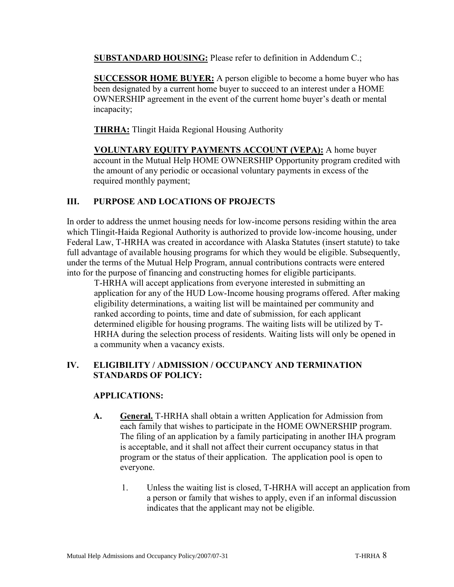**SUBSTANDARD HOUSING:** Please refer to definition in Addendum C.;

**SUCCESSOR HOME BUYER:** A person eligible to become a home buyer who has been designated by a current home buyer to succeed to an interest under a HOME OWNERSHIP agreement in the event of the current home buyer's death or mental incapacity;

**THRHA:** Tlingit Haida Regional Housing Authority

**VOLUNTARY EQUITY PAYMENTS ACCOUNT (VEPA):** A home buyer account in the Mutual Help HOME OWNERSHIP Opportunity program credited with the amount of any periodic or occasional voluntary payments in excess of the required monthly payment;

#### **III. PURPOSE AND LOCATIONS OF PROJECTS**

In order to address the unmet housing needs for low-income persons residing within the area which Tlingit-Haida Regional Authority is authorized to provide low-income housing, under Federal Law, T-HRHA was created in accordance with Alaska Statutes (insert statute) to take full advantage of available housing programs for which they would be eligible. Subsequently, under the terms of the Mutual Help Program, annual contributions contracts were entered into for the purpose of financing and constructing homes for eligible participants.

T-HRHA will accept applications from everyone interested in submitting an application for any of the HUD Low-Income housing programs offered. After making eligibility determinations, a waiting list will be maintained per community and ranked according to points, time and date of submission, for each applicant determined eligible for housing programs. The waiting lists will be utilized by T-HRHA during the selection process of residents. Waiting lists will only be opened in a community when a vacancy exists.

#### **IV. ELIGIBILITY / ADMISSION / OCCUPANCY AND TERMINATION STANDARDS OF POLICY:**

#### **APPLICATIONS:**

- **A. General.** T-HRHA shall obtain a written Application for Admission from each family that wishes to participate in the HOME OWNERSHIP program. The filing of an application by a family participating in another IHA program is acceptable, and it shall not affect their current occupancy status in that program or the status of their application. The application pool is open to everyone.
	- 1. Unless the waiting list is closed, T-HRHA will accept an application from a person or family that wishes to apply, even if an informal discussion indicates that the applicant may not be eligible.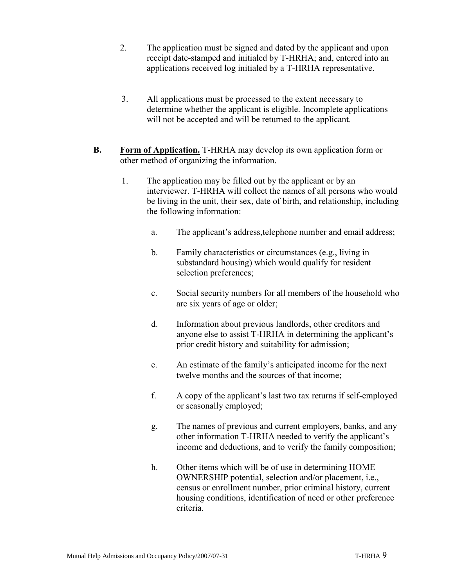- 2. The application must be signed and dated by the applicant and upon receipt date-stamped and initialed by T-HRHA; and, entered into an applications received log initialed by a T-HRHA representative.
- 3. All applications must be processed to the extent necessary to determine whether the applicant is eligible. Incomplete applications will not be accepted and will be returned to the applicant.
- **B. Form of Application.** T-HRHA may develop its own application form or other method of organizing the information.
	- 1. The application may be filled out by the applicant or by an interviewer. T-HRHA will collect the names of all persons who would be living in the unit, their sex, date of birth, and relationship, including the following information:
		- a. The applicant's address,telephone number and email address;
		- b. Family characteristics or circumstances (e.g., living in substandard housing) which would qualify for resident selection preferences;
		- c. Social security numbers for all members of the household who are six years of age or older;
		- d. Information about previous landlords, other creditors and anyone else to assist T-HRHA in determining the applicant's prior credit history and suitability for admission;
		- e. An estimate of the family's anticipated income for the next twelve months and the sources of that income;
		- f. A copy of the applicant's last two tax returns if self-employed or seasonally employed;
		- g. The names of previous and current employers, banks, and any other information T-HRHA needed to verify the applicant's income and deductions, and to verify the family composition;
		- h. Other items which will be of use in determining HOME OWNERSHIP potential, selection and/or placement, i.e., census or enrollment number, prior criminal history, current housing conditions, identification of need or other preference criteria.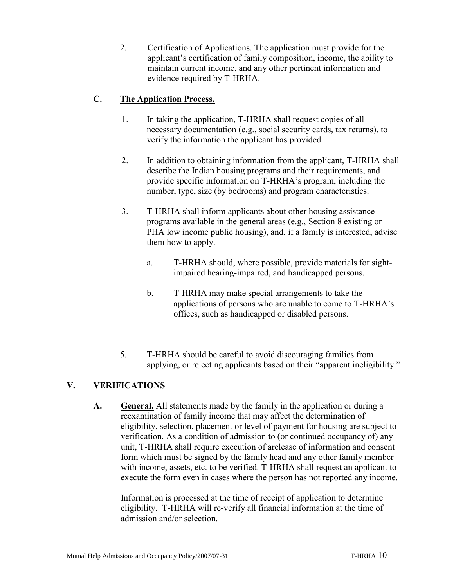2. Certification of Applications. The application must provide for the applicant's certification of family composition, income, the ability to maintain current income, and any other pertinent information and evidence required by T-HRHA.

#### **C. The Application Process.**

- 1. In taking the application, T-HRHA shall request copies of all necessary documentation (e.g., social security cards, tax returns), to verify the information the applicant has provided.
- 2. In addition to obtaining information from the applicant, T-HRHA shall describe the Indian housing programs and their requirements, and provide specific information on T-HRHA's program, including the number, type, size (by bedrooms) and program characteristics.
- 3. T-HRHA shall inform applicants about other housing assistance programs available in the general areas (e.g., Section 8 existing or PHA low income public housing), and, if a family is interested, advise them how to apply.
	- a. T-HRHA should, where possible, provide materials for sightimpaired hearing-impaired, and handicapped persons.
	- b. T-HRHA may make special arrangements to take the applications of persons who are unable to come to T-HRHA's offices, such as handicapped or disabled persons.
- 5. T-HRHA should be careful to avoid discouraging families from applying, or rejecting applicants based on their "apparent ineligibility."

#### **V. VERIFICATIONS**

**A. General.** All statements made by the family in the application or during a reexamination of family income that may affect the determination of eligibility, selection, placement or level of payment for housing are subject to verification. As a condition of admission to (or continued occupancy of) any unit, T-HRHA shall require execution of arelease of information and consent form which must be signed by the family head and any other family member with income, assets, etc. to be verified. T-HRHA shall request an applicant to execute the form even in cases where the person has not reported any income.

Information is processed at the time of receipt of application to determine eligibility. T-HRHA will re-verify all financial information at the time of admission and/or selection.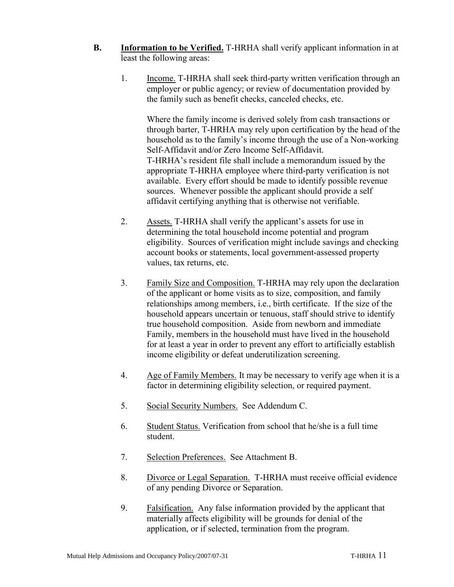- **B. Information to be Verified.** T-HRHA shall verify applicant information in at least the following areas:
	- 1. Income. T-HRHA shall seek third-party written verification through an employer or public agency; or review of documentation provided by the family such as benefit checks, canceled checks, etc.

Where the family income is derived solely from cash transactions or through barter, T-HRHA may rely upon certification by the head of the household as to the family's income through the use of a Non-working Self-Affidavit and/or Zero Income Self-Affidavit. T-HRHA's resident file shall include a memorandum issued by the appropriate T-HRHA employee where third-party verification is not available. Every effort should be made to identify possible revenue sources. Whenever possible the applicant should provide a self affidavit certifying anything that is otherwise not verifiable.

- 2. Assets. T-HRHA shall verify the applicant's assets for use in determining the total household income potential and program eligibility. Sources of verification might include savings and checking account books or statements, local government-assessed property values, tax returns, etc.
- 3. Family Size and Composition. T-HRHA may rely upon the declaration of the applicant or home visits as to size, composition, and family relationships among members, i.e., birth certificate. If the size of the household appears uncertain or tenuous, staff should strive to identify true household composition. Aside from newborn and immediate Family, members in the household must have lived in the household for at least a year in order to prevent any effort to artificially establish income eligibility or defeat underutilization screening.
- 4. Age of Family Members. It may be necessary to verify age when it is a factor in determining eligibility selection, or required payment.
- 5. Social Security Numbers. See Addendum C.
- 6. Student Status. Verification from school that he/she is a full time student.
- 7. Selection Preferences. See Attachment B.
- 8. Divorce or Legal Separation. T-HRHA must receive official evidence of any pending Divorce or Separation.
- 9. Falsification. Any false information provided by the applicant that materially affects eligibility will be grounds for denial of the application, or if selected, termination from the program.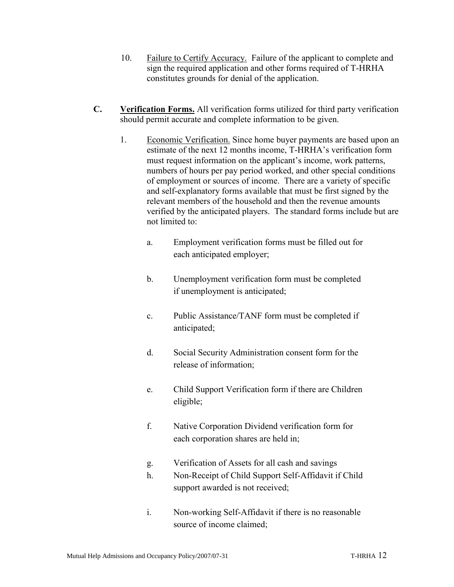- 10. Failure to Certify Accuracy. Failure of the applicant to complete and sign the required application and other forms required of T-HRHA constitutes grounds for denial of the application.
- **C. Verification Forms.** All verification forms utilized for third party verification should permit accurate and complete information to be given.
	- 1. Economic Verification. Since home buyer payments are based upon an estimate of the next 12 months income, T-HRHA's verification form must request information on the applicant's income, work patterns, numbers of hours per pay period worked, and other special conditions of employment or sources of income. There are a variety of specific and self-explanatory forms available that must be first signed by the relevant members of the household and then the revenue amounts verified by the anticipated players. The standard forms include but are not limited to:
		- a. Employment verification forms must be filled out for each anticipated employer;
		- b. Unemployment verification form must be completed if unemployment is anticipated;
		- c. Public Assistance/TANF form must be completed if anticipated;
		- d. Social Security Administration consent form for the release of information;
		- e. Child Support Verification form if there are Children eligible;
		- f. Native Corporation Dividend verification form for each corporation shares are held in;
		- g. Verification of Assets for all cash and savings
		- h. Non-Receipt of Child Support Self-Affidavit if Child support awarded is not received;
		- i. Non-working Self-Affidavit if there is no reasonable source of income claimed;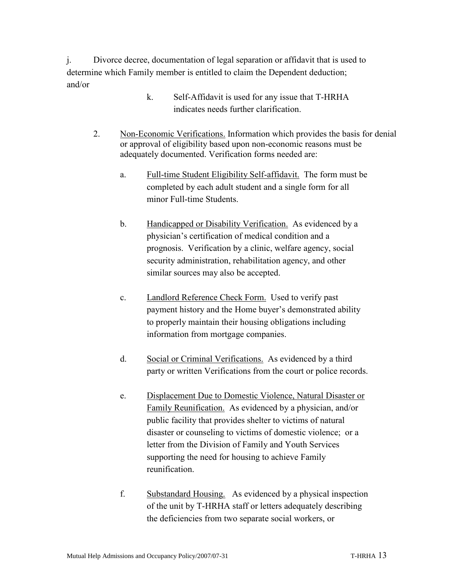j. Divorce decree, documentation of legal separation or affidavit that is used to determine which Family member is entitled to claim the Dependent deduction; and/or

- k. Self-Affidavit is used for any issue that T-HRHA indicates needs further clarification.
- 2. Non-Economic Verifications. Information which provides the basis for denial or approval of eligibility based upon non-economic reasons must be adequately documented. Verification forms needed are:
	- a. Full-time Student Eligibility Self-affidavit. The form must be completed by each adult student and a single form for all minor Full-time Students.
	- b. Handicapped or Disability Verification.As evidenced by a physician's certification of medical condition and a prognosis. Verification by a clinic, welfare agency, social security administration, rehabilitation agency, and other similar sources may also be accepted.
	- c. Landlord Reference Check Form. Used to verify past payment history and the Home buyer's demonstrated ability to properly maintain their housing obligations including information from mortgage companies.
	- d. Social or Criminal Verifications.As evidenced by a third party or written Verifications from the court or police records.
	- e. Displacement Due to Domestic Violence, Natural Disaster or Family Reunification.As evidenced by a physician, and/or public facility that provides shelter to victims of natural disaster or counseling to victims of domestic violence; or a letter from the Division of Family and Youth Services supporting the need for housing to achieve Family reunification.
	- f. Substandard Housing.As evidenced by a physical inspection of the unit by T-HRHA staff or letters adequately describing the deficiencies from two separate social workers, or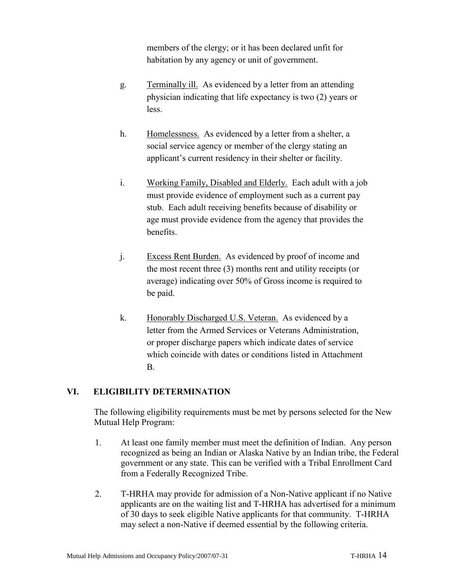members of the clergy; or it has been declared unfit for habitation by any agency or unit of government.

- g. Terminally ill. As evidenced by a letter from an attending physician indicating that life expectancy is two (2) years or less.
- h. Homelessness. As evidenced by a letter from a shelter, a social service agency or member of the clergy stating an applicant's current residency in their shelter or facility.
- i. Working Family, Disabled and Elderly. Each adult with a job must provide evidence of employment such as a current pay stub. Each adult receiving benefits because of disability or age must provide evidence from the agency that provides the benefits.
- j. Excess Rent Burden. As evidenced by proof of income and the most recent three (3) months rent and utility receipts (or average) indicating over 50% of Gross income is required to be paid.
- k. Honorably Discharged U.S. Veteran.As evidenced by a letter from the Armed Services or Veterans Administration, or proper discharge papers which indicate dates of service which coincide with dates or conditions listed in Attachment B.

#### **VI. ELIGIBILITY DETERMINATION**

The following eligibility requirements must be met by persons selected for the New Mutual Help Program:

- 1. At least one family member must meet the definition of Indian. Any person recognized as being an Indian or Alaska Native by an Indian tribe, the Federal government or any state. This can be verified with a Tribal Enrollment Card from a Federally Recognized Tribe.
- 2. T-HRHA may provide for admission of a Non-Native applicant if no Native applicants are on the waiting list and T-HRHA has advertised for a minimum of 30 days to seek eligible Native applicants for that community. T-HRHA may select a non-Native if deemed essential by the following criteria.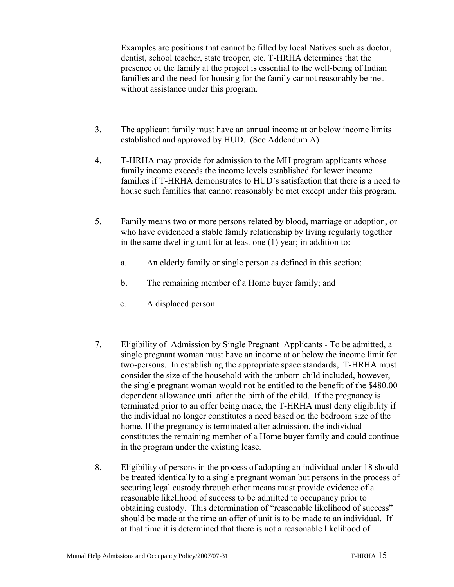Examples are positions that cannot be filled by local Natives such as doctor, dentist, school teacher, state trooper, etc. T-HRHA determines that the presence of the family at the project is essential to the well-being of Indian families and the need for housing for the family cannot reasonably be met without assistance under this program.

- 3. The applicant family must have an annual income at or below income limits established and approved by HUD. (See Addendum A)
- 4. T-HRHA may provide for admission to the MH program applicants whose family income exceeds the income levels established for lower income families if T-HRHA demonstrates to HUD's satisfaction that there is a need to house such families that cannot reasonably be met except under this program.
- 5. Family means two or more persons related by blood, marriage or adoption, or who have evidenced a stable family relationship by living regularly together in the same dwelling unit for at least one (1) year; in addition to:
	- a. An elderly family or single person as defined in this section;
	- b. The remaining member of a Home buyer family; and
	- c. A displaced person.
- 7. Eligibility of Admission by Single Pregnant Applicants To be admitted, a single pregnant woman must have an income at or below the income limit for two-persons. In establishing the appropriate space standards, T-HRHA must consider the size of the household with the unborn child included, however, the single pregnant woman would not be entitled to the benefit of the \$480.00 dependent allowance until after the birth of the child. If the pregnancy is terminated prior to an offer being made, the T-HRHA must deny eligibility if the individual no longer constitutes a need based on the bedroom size of the home. If the pregnancy is terminated after admission, the individual constitutes the remaining member of a Home buyer family and could continue in the program under the existing lease.
- 8. Eligibility of persons in the process of adopting an individual under 18 should be treated identically to a single pregnant woman but persons in the process of securing legal custody through other means must provide evidence of a reasonable likelihood of success to be admitted to occupancy prior to obtaining custody. This determination of "reasonable likelihood of success" should be made at the time an offer of unit is to be made to an individual. If at that time it is determined that there is not a reasonable likelihood of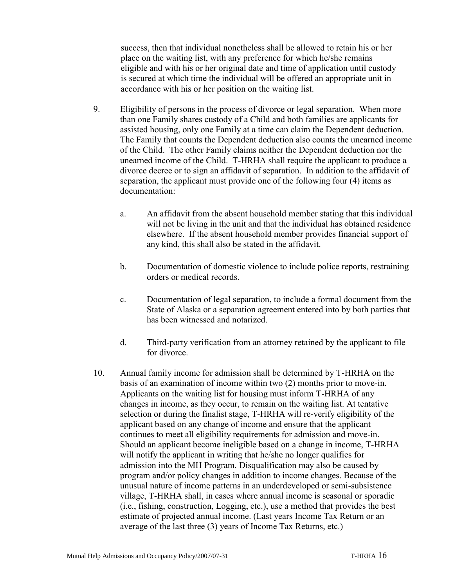success, then that individual nonetheless shall be allowed to retain his or her place on the waiting list, with any preference for which he/she remains eligible and with his or her original date and time of application until custody is secured at which time the individual will be offered an appropriate unit in accordance with his or her position on the waiting list.

- 9. Eligibility of persons in the process of divorce or legal separation. When more than one Family shares custody of a Child and both families are applicants for assisted housing, only one Family at a time can claim the Dependent deduction. The Family that counts the Dependent deduction also counts the unearned income of the Child. The other Family claims neither the Dependent deduction nor the unearned income of the Child. T-HRHA shall require the applicant to produce a divorce decree or to sign an affidavit of separation. In addition to the affidavit of separation, the applicant must provide one of the following four (4) items as documentation:
	- a. An affidavit from the absent household member stating that this individual will not be living in the unit and that the individual has obtained residence elsewhere. If the absent household member provides financial support of any kind, this shall also be stated in the affidavit.
	- b. Documentation of domestic violence to include police reports, restraining orders or medical records.
	- c. Documentation of legal separation, to include a formal document from the State of Alaska or a separation agreement entered into by both parties that has been witnessed and notarized.
	- d. Third-party verification from an attorney retained by the applicant to file for divorce.
- 10. Annual family income for admission shall be determined by T-HRHA on the basis of an examination of income within two (2) months prior to move-in. Applicants on the waiting list for housing must inform T-HRHA of any changes in income, as they occur, to remain on the waiting list. At tentative selection or during the finalist stage, T-HRHA will re-verify eligibility of the applicant based on any change of income and ensure that the applicant continues to meet all eligibility requirements for admission and move-in. Should an applicant become ineligible based on a change in income, T-HRHA will notify the applicant in writing that he/she no longer qualifies for admission into the MH Program. Disqualification may also be caused by program and/or policy changes in addition to income changes. Because of the unusual nature of income patterns in an underdeveloped or semi-subsistence village, T-HRHA shall, in cases where annual income is seasonal or sporadic (i.e., fishing, construction, Logging, etc.), use a method that provides the best estimate of projected annual income. (Last years Income Tax Return or an average of the last three (3) years of Income Tax Returns, etc.)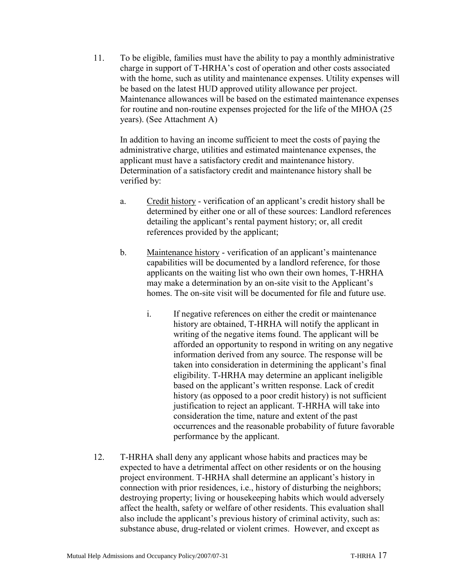11. To be eligible, families must have the ability to pay a monthly administrative charge in support of T-HRHA's cost of operation and other costs associated with the home, such as utility and maintenance expenses. Utility expenses will be based on the latest HUD approved utility allowance per project. Maintenance allowances will be based on the estimated maintenance expenses for routine and non-routine expenses projected for the life of the MHOA (25 years). (See Attachment A)

In addition to having an income sufficient to meet the costs of paying the administrative charge, utilities and estimated maintenance expenses, the applicant must have a satisfactory credit and maintenance history. Determination of a satisfactory credit and maintenance history shall be verified by:

- a. Credit history verification of an applicant's credit history shall be determined by either one or all of these sources: Landlord references detailing the applicant's rental payment history; or, all credit references provided by the applicant;
- b. Maintenance history verification of an applicant's maintenance capabilities will be documented by a landlord reference, for those applicants on the waiting list who own their own homes, T-HRHA may make a determination by an on-site visit to the Applicant's homes. The on-site visit will be documented for file and future use.
	- i. If negative references on either the credit or maintenance history are obtained, T-HRHA will notify the applicant in writing of the negative items found. The applicant will be afforded an opportunity to respond in writing on any negative information derived from any source. The response will be taken into consideration in determining the applicant's final eligibility. T-HRHA may determine an applicant ineligible based on the applicant's written response. Lack of credit history (as opposed to a poor credit history) is not sufficient justification to reject an applicant. T-HRHA will take into consideration the time, nature and extent of the past occurrences and the reasonable probability of future favorable performance by the applicant.
- 12. T-HRHA shall deny any applicant whose habits and practices may be expected to have a detrimental affect on other residents or on the housing project environment. T-HRHA shall determine an applicant's history in connection with prior residences, i.e., history of disturbing the neighbors; destroying property; living or housekeeping habits which would adversely affect the health, safety or welfare of other residents. This evaluation shall also include the applicant's previous history of criminal activity, such as: substance abuse, drug-related or violent crimes. However, and except as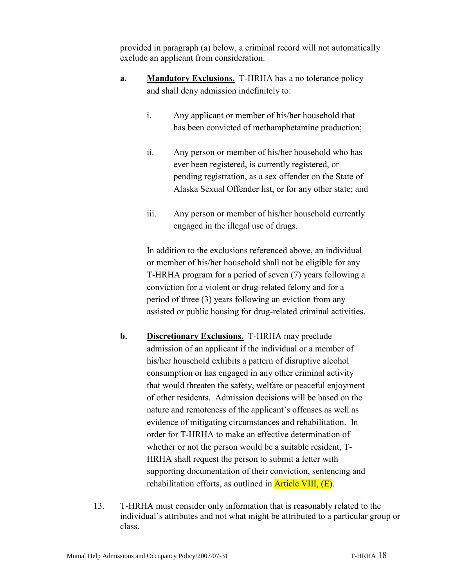provided in paragraph (a) below, a criminal record will not automatically exclude an applicant from consideration.

- **a. Mandatory Exclusions.** T-HRHA has a no tolerance policy and shall deny admission indefinitely to:
	- i. Any applicant or member of his/her household that has been convicted of methamphetamine production;
	- ii. Any person or member of his/her household who has ever been registered, is currently registered, or pending registration, as a sex offender on the State of Alaska Sexual Offender list, or for any other state; and
	- iii. Any person or member of his/her household currently engaged in the illegal use of drugs.

In addition to the exclusions referenced above, an individual or member of his/her household shall not be eligible for any T-HRHA program for a period of seven (7) years following a conviction for a violent or drug-related felony and for a period of three (3) years following an eviction from any assisted or public housing for drug-related criminal activities.

- **b. Discretionary Exclusions.** T-HRHA may preclude admission of an applicant if the individual or a member of his/her household exhibits a pattern of disruptive alcohol consumption or has engaged in any other criminal activity that would threaten the safety, welfare or peaceful enjoyment of other residents. Admission decisions will be based on the nature and remoteness of the applicant's offenses as well as evidence of mitigating circumstances and rehabilitation. In order for T-HRHA to make an effective determination of whether or not the person would be a suitable resident, T-HRHA shall request the person to submit a letter with supporting documentation of their conviction, sentencing and rehabilitation efforts, as outlined in **Article VIII**, (E).
- 13. T-HRHA must consider only information that is reasonably related to the individual's attributes and not what might be attributed to a particular group or class.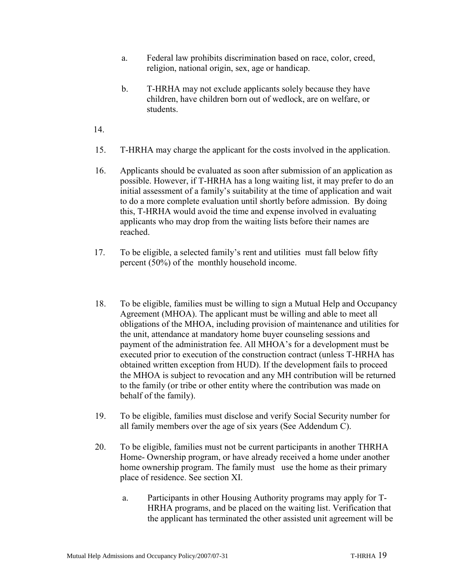- a. Federal law prohibits discrimination based on race, color, creed, religion, national origin, sex, age or handicap.
- b. T-HRHA may not exclude applicants solely because they have children, have children born out of wedlock, are on welfare, or students.
- 14.
- 15. T-HRHA may charge the applicant for the costs involved in the application.
- 16. Applicants should be evaluated as soon after submission of an application as possible. However, if T-HRHA has a long waiting list, it may prefer to do an initial assessment of a family's suitability at the time of application and wait to do a more complete evaluation until shortly before admission. By doing this, T-HRHA would avoid the time and expense involved in evaluating applicants who may drop from the waiting lists before their names are reached.
- 17. To be eligible, a selected family's rent and utilities must fall below fifty percent (50%) of the monthly household income.
- 18. To be eligible, families must be willing to sign a Mutual Help and Occupancy Agreement (MHOA). The applicant must be willing and able to meet all obligations of the MHOA, including provision of maintenance and utilities for the unit, attendance at mandatory home buyer counseling sessions and payment of the administration fee. All MHOA's for a development must be executed prior to execution of the construction contract (unless T-HRHA has obtained written exception from HUD). If the development fails to proceed the MHOA is subject to revocation and any MH contribution will be returned to the family (or tribe or other entity where the contribution was made on behalf of the family).
- 19. To be eligible, families must disclose and verify Social Security number for all family members over the age of six years (See Addendum C).
- 20. To be eligible, families must not be current participants in another THRHA Home- Ownership program, or have already received a home under another home ownership program. The family must use the home as their primary place of residence. See section XI.
	- a. Participants in other Housing Authority programs may apply for T-HRHA programs, and be placed on the waiting list. Verification that the applicant has terminated the other assisted unit agreement will be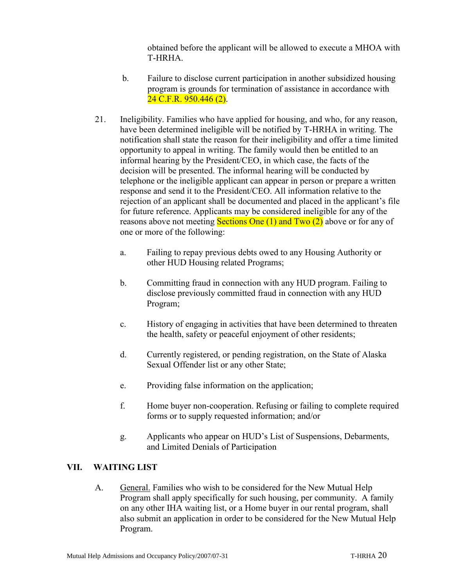obtained before the applicant will be allowed to execute a MHOA with T-HRHA.

- b. Failure to disclose current participation in another subsidized housing program is grounds for termination of assistance in accordance with 24 C.F.R. 950.446 (2).
- 21. Ineligibility. Families who have applied for housing, and who, for any reason, have been determined ineligible will be notified by T-HRHA in writing. The notification shall state the reason for their ineligibility and offer a time limited opportunity to appeal in writing. The family would then be entitled to an informal hearing by the President/CEO, in which case, the facts of the decision will be presented. The informal hearing will be conducted by telephone or the ineligible applicant can appear in person or prepare a written response and send it to the President/CEO. All information relative to the rejection of an applicant shall be documented and placed in the applicant's file for future reference. Applicants may be considered ineligible for any of the reasons above not meeting **Sections One (1) and Two (2)** above or for any of one or more of the following:
	- a. Failing to repay previous debts owed to any Housing Authority or other HUD Housing related Programs;
	- b. Committing fraud in connection with any HUD program. Failing to disclose previously committed fraud in connection with any HUD Program;
	- c. History of engaging in activities that have been determined to threaten the health, safety or peaceful enjoyment of other residents;
	- d. Currently registered, or pending registration, on the State of Alaska Sexual Offender list or any other State;
	- e. Providing false information on the application;
	- f. Home buyer non-cooperation. Refusing or failing to complete required forms or to supply requested information; and/or
	- g. Applicants who appear on HUD's List of Suspensions, Debarments, and Limited Denials of Participation

#### **VII. WAITING LIST**

A. General. Families who wish to be considered for the New Mutual Help Program shall apply specifically for such housing, per community. A family on any other IHA waiting list, or a Home buyer in our rental program, shall also submit an application in order to be considered for the New Mutual Help Program.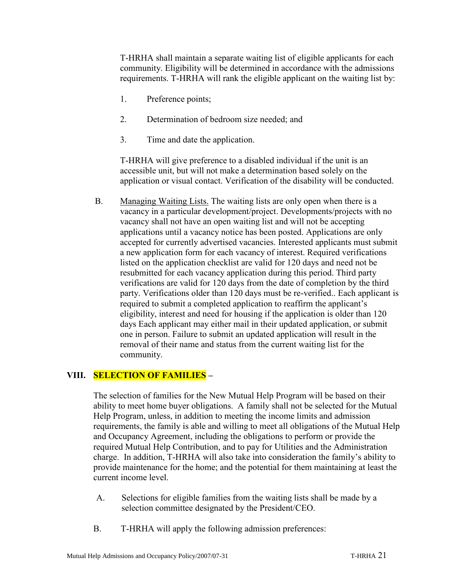T-HRHA shall maintain a separate waiting list of eligible applicants for each community. Eligibility will be determined in accordance with the admissions requirements. T-HRHA will rank the eligible applicant on the waiting list by:

- 1. Preference points;
- 2. Determination of bedroom size needed; and
- 3. Time and date the application.

T-HRHA will give preference to a disabled individual if the unit is an accessible unit, but will not make a determination based solely on the application or visual contact. Verification of the disability will be conducted.

B. Managing Waiting Lists. The waiting lists are only open when there is a vacancy in a particular development/project. Developments/projects with no vacancy shall not have an open waiting list and will not be accepting applications until a vacancy notice has been posted. Applications are only accepted for currently advertised vacancies. Interested applicants must submit a new application form for each vacancy of interest. Required verifications listed on the application checklist are valid for 120 days and need not be resubmitted for each vacancy application during this period. Third party verifications are valid for 120 days from the date of completion by the third party. Verifications older than 120 days must be re-verified.. Each applicant is required to submit a completed application to reaffirm the applicant's eligibility, interest and need for housing if the application is older than 120 days Each applicant may either mail in their updated application, or submit one in person. Failure to submit an updated application will result in the removal of their name and status from the current waiting list for the community.

#### **VIII. SELECTION OF FAMILIES –**

The selection of families for the New Mutual Help Program will be based on their ability to meet home buyer obligations. A family shall not be selected for the Mutual Help Program, unless, in addition to meeting the income limits and admission requirements, the family is able and willing to meet all obligations of the Mutual Help and Occupancy Agreement, including the obligations to perform or provide the required Mutual Help Contribution, and to pay for Utilities and the Administration charge. In addition, T-HRHA will also take into consideration the family's ability to provide maintenance for the home; and the potential for them maintaining at least the current income level.

- A. Selections for eligible families from the waiting lists shall be made by a selection committee designated by the President/CEO.
- B. T-HRHA will apply the following admission preferences: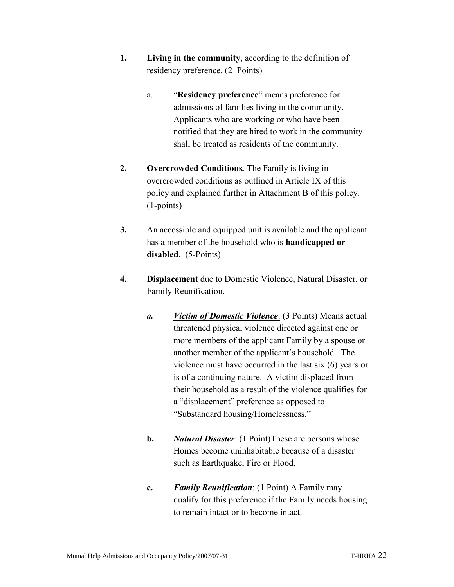- **1. Living in the community**, according to the definition of residency preference. (2–Points)
	- a. "**Residency preference**" means preference for admissions of families living in the community. Applicants who are working or who have been notified that they are hired to work in the community shall be treated as residents of the community.
- **2. Overcrowded Conditions***.* The Family is living in overcrowded conditions as outlined in Article IX of this policy and explained further in Attachment B of this policy. (1-points)
- **3.** An accessible and equipped unit is available and the applicant has a member of the household who is **handicapped or disabled**. (5-Points)
- **4. Displacement** due to Domestic Violence, Natural Disaster, or Family Reunification.
	- *a. Victim of Domestic Violence*: (3 Points) Means actual threatened physical violence directed against one or more members of the applicant Family by a spouse or another member of the applicant's household. The violence must have occurred in the last six (6) years or is of a continuing nature. A victim displaced from their household as a result of the violence qualifies for a "displacement" preference as opposed to "Substandard housing/Homelessness."
	- **b.** *Natural Disaster*: (1 Point)These are persons whose Homes become uninhabitable because of a disaster such as Earthquake, Fire or Flood.
	- **c.** *Family Reunification*: (1 Point) A Family may qualify for this preference if the Family needs housing to remain intact or to become intact.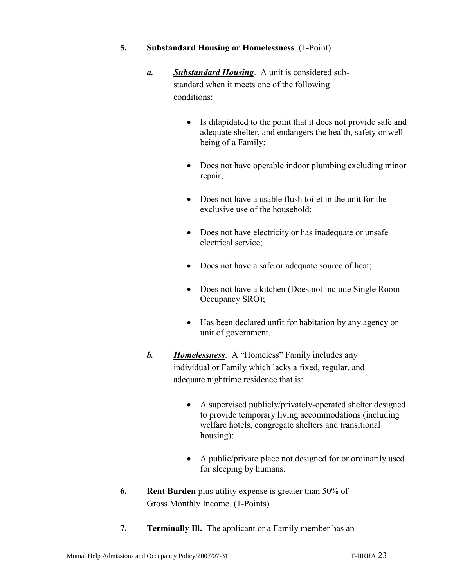- **5. Substandard Housing or Homelessness**. (1-Point)
	- *a. Substandard Housing*. A unit is considered substandard when it meets one of the following conditions:
		- Is dilapidated to the point that it does not provide safe and adequate shelter, and endangers the health, safety or well being of a Family;
		- Does not have operable indoor plumbing excluding minor repair;
		- Does not have a usable flush toilet in the unit for the exclusive use of the household;
		- Does not have electricity or has inadequate or unsafe electrical service;
		- Does not have a safe or adequate source of heat;
		- Does not have a kitchen (Does not include Single Room Occupancy SRO);
		- Has been declared unfit for habitation by any agency or unit of government.
	- *b. Homelessness*. A "Homeless" Family includes any individual or Family which lacks a fixed, regular, and adequate nighttime residence that is:
		- A supervised publicly/privately-operated shelter designed to provide temporary living accommodations (including welfare hotels, congregate shelters and transitional housing);
		- A public/private place not designed for or ordinarily used for sleeping by humans.
- **6. Rent Burden** plus utility expense is greater than 50% of Gross Monthly Income. (1-Points)
- **7. Terminally Ill.** The applicant or a Family member has an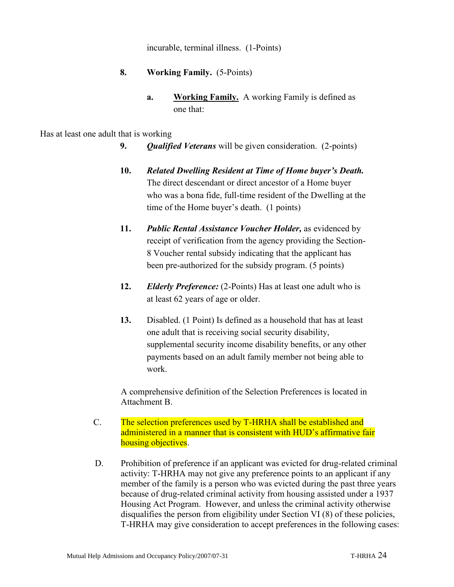incurable, terminal illness. (1-Points)

- **8. Working Family.** (5-Points)
	- **a. Working Family.** A working Family is defined as one that:

#### Has at least one adult that is working

- **9.** *Qualified Veterans* will be given consideration. (2-points)
- **10.** *Related Dwelling Resident at Time of Home buyer's Death.*  The direct descendant or direct ancestor of a Home buyer who was a bona fide, full-time resident of the Dwelling at the time of the Home buyer's death. (1 points)
- **11.** *Public Rental Assistance Voucher Holder,* as evidenced by receipt of verification from the agency providing the Section-8 Voucher rental subsidy indicating that the applicant has been pre-authorized for the subsidy program. (5 points)
- **12.** *Elderly Preference:* (2-Points) Has at least one adult who is at least 62 years of age or older.
- **13.** Disabled. (1 Point) Is defined as a household that has at least one adult that is receiving social security disability, supplemental security income disability benefits, or any other payments based on an adult family member not being able to work.

A comprehensive definition of the Selection Preferences is located in Attachment B.

- C. The selection preferences used by T-HRHA shall be established and administered in a manner that is consistent with HUD's affirmative fair housing objectives.
- D. Prohibition of preference if an applicant was evicted for drug-related criminal activity: T-HRHA may not give any preference points to an applicant if any member of the family is a person who was evicted during the past three years because of drug-related criminal activity from housing assisted under a 1937 Housing Act Program. However, and unless the criminal activity otherwise disqualifies the person from eligibility under Section VI (8) of these policies, T-HRHA may give consideration to accept preferences in the following cases: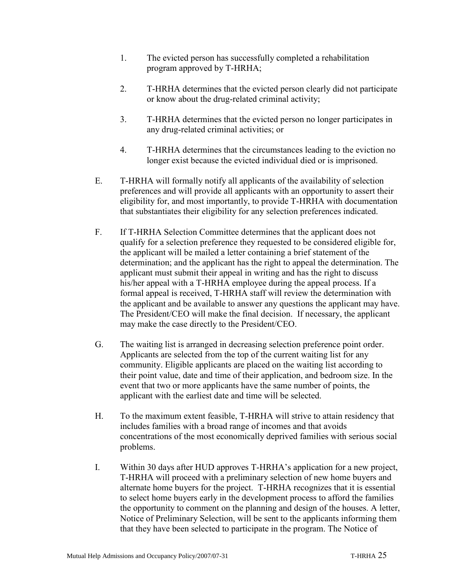- 1. The evicted person has successfully completed a rehabilitation program approved by T-HRHA;
- 2. T-HRHA determines that the evicted person clearly did not participate or know about the drug-related criminal activity;
- 3. T-HRHA determines that the evicted person no longer participates in any drug-related criminal activities; or
- 4. T-HRHA determines that the circumstances leading to the eviction no longer exist because the evicted individual died or is imprisoned.
- E. T-HRHA will formally notify all applicants of the availability of selection preferences and will provide all applicants with an opportunity to assert their eligibility for, and most importantly, to provide T-HRHA with documentation that substantiates their eligibility for any selection preferences indicated.
- F. If T-HRHA Selection Committee determines that the applicant does not qualify for a selection preference they requested to be considered eligible for, the applicant will be mailed a letter containing a brief statement of the determination; and the applicant has the right to appeal the determination. The applicant must submit their appeal in writing and has the right to discuss his/her appeal with a T-HRHA employee during the appeal process. If a formal appeal is received, T-HRHA staff will review the determination with the applicant and be available to answer any questions the applicant may have. The President/CEO will make the final decision. If necessary, the applicant may make the case directly to the President/CEO.
- G. The waiting list is arranged in decreasing selection preference point order. Applicants are selected from the top of the current waiting list for any community. Eligible applicants are placed on the waiting list according to their point value, date and time of their application, and bedroom size. In the event that two or more applicants have the same number of points, the applicant with the earliest date and time will be selected.
- H. To the maximum extent feasible, T-HRHA will strive to attain residency that includes families with a broad range of incomes and that avoids concentrations of the most economically deprived families with serious social problems.
- I. Within 30 days after HUD approves T-HRHA's application for a new project, T-HRHA will proceed with a preliminary selection of new home buyers and alternate home buyers for the project. T-HRHA recognizes that it is essential to select home buyers early in the development process to afford the families the opportunity to comment on the planning and design of the houses. A letter, Notice of Preliminary Selection, will be sent to the applicants informing them that they have been selected to participate in the program. The Notice of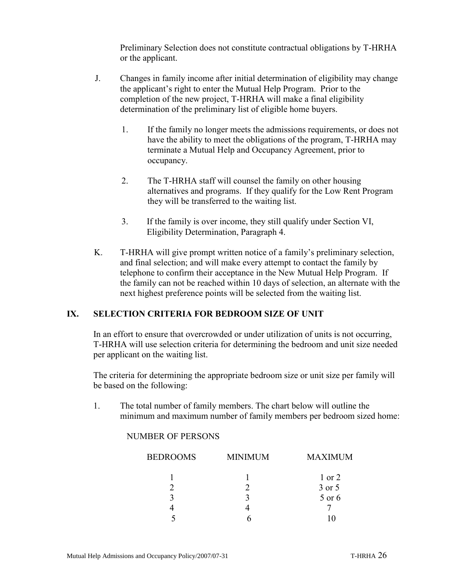Preliminary Selection does not constitute contractual obligations by T-HRHA or the applicant.

- J. Changes in family income after initial determination of eligibility may change the applicant's right to enter the Mutual Help Program. Prior to the completion of the new project, T-HRHA will make a final eligibility determination of the preliminary list of eligible home buyers.
	- 1. If the family no longer meets the admissions requirements, or does not have the ability to meet the obligations of the program, T-HRHA may terminate a Mutual Help and Occupancy Agreement, prior to occupancy.
	- 2. The T-HRHA staff will counsel the family on other housing alternatives and programs. If they qualify for the Low Rent Program they will be transferred to the waiting list.
	- 3. If the family is over income, they still qualify under Section VI, Eligibility Determination, Paragraph 4.
- K. T-HRHA will give prompt written notice of a family's preliminary selection, and final selection; and will make every attempt to contact the family by telephone to confirm their acceptance in the New Mutual Help Program. If the family can not be reached within 10 days of selection, an alternate with the next highest preference points will be selected from the waiting list.

#### **IX. SELECTION CRITERIA FOR BEDROOM SIZE OF UNIT**

In an effort to ensure that overcrowded or under utilization of units is not occurring, T-HRHA will use selection criteria for determining the bedroom and unit size needed per applicant on the waiting list.

The criteria for determining the appropriate bedroom size or unit size per family will be based on the following:

1. The total number of family members. The chart below will outline the minimum and maximum number of family members per bedroom sized home:

#### NUMBER OF PERSONS

| <b>BEDROOMS</b> | <b>MINIMUM</b> | <b>MAXIMUM</b> |
|-----------------|----------------|----------------|
|                 |                | $1$ or $2$     |
|                 |                | 3 or 5         |
|                 |                | 5 or 6         |
|                 |                |                |
|                 |                |                |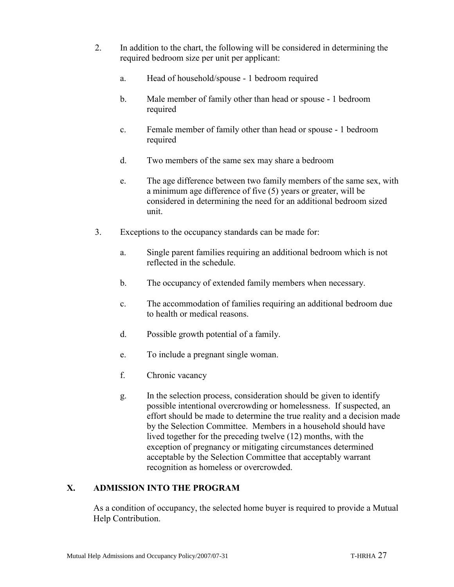- 2. In addition to the chart, the following will be considered in determining the required bedroom size per unit per applicant:
	- a. Head of household/spouse 1 bedroom required
	- b. Male member of family other than head or spouse 1 bedroom required
	- c. Female member of family other than head or spouse 1 bedroom required
	- d. Two members of the same sex may share a bedroom
	- e. The age difference between two family members of the same sex, with a minimum age difference of five (5) years or greater, will be considered in determining the need for an additional bedroom sized unit.
- 3. Exceptions to the occupancy standards can be made for:
	- a. Single parent families requiring an additional bedroom which is not reflected in the schedule.
	- b. The occupancy of extended family members when necessary.
	- c. The accommodation of families requiring an additional bedroom due to health or medical reasons.
	- d. Possible growth potential of a family.
	- e. To include a pregnant single woman.
	- f. Chronic vacancy
	- g. In the selection process, consideration should be given to identify possible intentional overcrowding or homelessness. If suspected, an effort should be made to determine the true reality and a decision made by the Selection Committee. Members in a household should have lived together for the preceding twelve (12) months, with the exception of pregnancy or mitigating circumstances determined acceptable by the Selection Committee that acceptably warrant recognition as homeless or overcrowded.

#### **X. ADMISSION INTO THE PROGRAM**

As a condition of occupancy, the selected home buyer is required to provide a Mutual Help Contribution.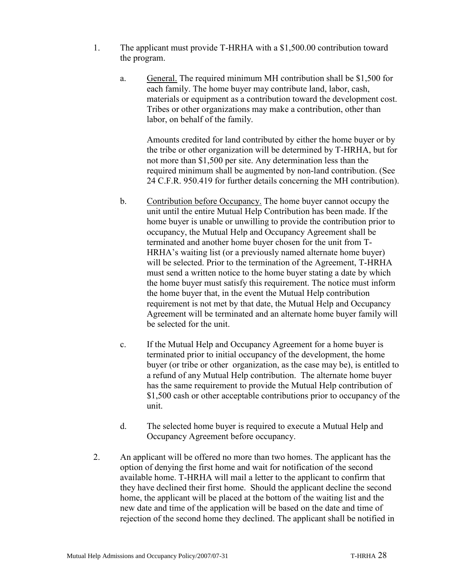- 1. The applicant must provide T-HRHA with a \$1,500.00 contribution toward the program.
	- a. General. The required minimum MH contribution shall be \$1,500 for each family. The home buyer may contribute land, labor, cash, materials or equipment as a contribution toward the development cost. Tribes or other organizations may make a contribution, other than labor, on behalf of the family.

Amounts credited for land contributed by either the home buyer or by the tribe or other organization will be determined by T-HRHA, but for not more than \$1,500 per site. Any determination less than the required minimum shall be augmented by non-land contribution. (See 24 C.F.R. 950.419 for further details concerning the MH contribution).

- b. Contribution before Occupancy. The home buyer cannot occupy the unit until the entire Mutual Help Contribution has been made. If the home buyer is unable or unwilling to provide the contribution prior to occupancy, the Mutual Help and Occupancy Agreement shall be terminated and another home buyer chosen for the unit from T-HRHA's waiting list (or a previously named alternate home buyer) will be selected. Prior to the termination of the Agreement, T-HRHA must send a written notice to the home buyer stating a date by which the home buyer must satisfy this requirement. The notice must inform the home buyer that, in the event the Mutual Help contribution requirement is not met by that date, the Mutual Help and Occupancy Agreement will be terminated and an alternate home buyer family will be selected for the unit.
- c. If the Mutual Help and Occupancy Agreement for a home buyer is terminated prior to initial occupancy of the development, the home buyer (or tribe or other organization, as the case may be), is entitled to a refund of any Mutual Help contribution. The alternate home buyer has the same requirement to provide the Mutual Help contribution of \$1,500 cash or other acceptable contributions prior to occupancy of the unit.
- d. The selected home buyer is required to execute a Mutual Help and Occupancy Agreement before occupancy.
- 2. An applicant will be offered no more than two homes. The applicant has the option of denying the first home and wait for notification of the second available home. T-HRHA will mail a letter to the applicant to confirm that they have declined their first home. Should the applicant decline the second home, the applicant will be placed at the bottom of the waiting list and the new date and time of the application will be based on the date and time of rejection of the second home they declined. The applicant shall be notified in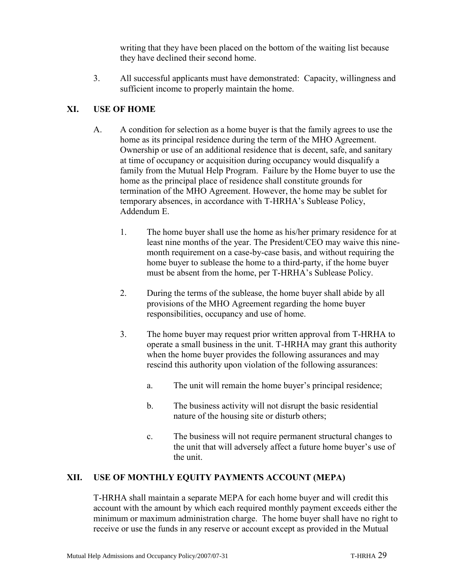writing that they have been placed on the bottom of the waiting list because they have declined their second home.

3. All successful applicants must have demonstrated: Capacity, willingness and sufficient income to properly maintain the home.

#### **XI. USE OF HOME**

- A. A condition for selection as a home buyer is that the family agrees to use the home as its principal residence during the term of the MHO Agreement. Ownership or use of an additional residence that is decent, safe, and sanitary at time of occupancy or acquisition during occupancy would disqualify a family from the Mutual Help Program. Failure by the Home buyer to use the home as the principal place of residence shall constitute grounds for termination of the MHO Agreement. However, the home may be sublet for temporary absences, in accordance with T-HRHA's Sublease Policy, Addendum E.
	- 1. The home buyer shall use the home as his/her primary residence for at least nine months of the year. The President/CEO may waive this ninemonth requirement on a case-by-case basis, and without requiring the home buyer to sublease the home to a third-party, if the home buyer must be absent from the home, per T-HRHA's Sublease Policy.
	- 2. During the terms of the sublease, the home buyer shall abide by all provisions of the MHO Agreement regarding the home buyer responsibilities, occupancy and use of home.
	- 3. The home buyer may request prior written approval from T-HRHA to operate a small business in the unit. T-HRHA may grant this authority when the home buyer provides the following assurances and may rescind this authority upon violation of the following assurances:
		- a. The unit will remain the home buyer's principal residence;
		- b. The business activity will not disrupt the basic residential nature of the housing site or disturb others;
		- c. The business will not require permanent structural changes to the unit that will adversely affect a future home buyer's use of the unit.

#### **XII. USE OF MONTHLY EQUITY PAYMENTS ACCOUNT (MEPA)**

T-HRHA shall maintain a separate MEPA for each home buyer and will credit this account with the amount by which each required monthly payment exceeds either the minimum or maximum administration charge. The home buyer shall have no right to receive or use the funds in any reserve or account except as provided in the Mutual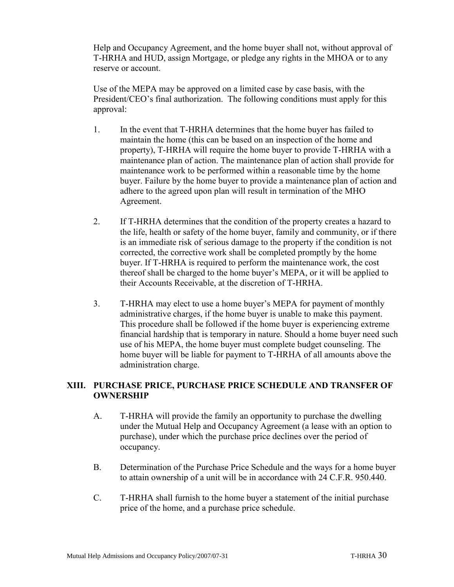Help and Occupancy Agreement, and the home buyer shall not, without approval of T-HRHA and HUD, assign Mortgage, or pledge any rights in the MHOA or to any reserve or account.

Use of the MEPA may be approved on a limited case by case basis, with the President/CEO's final authorization. The following conditions must apply for this approval:

- 1. In the event that T-HRHA determines that the home buyer has failed to maintain the home (this can be based on an inspection of the home and property), T-HRHA will require the home buyer to provide T-HRHA with a maintenance plan of action. The maintenance plan of action shall provide for maintenance work to be performed within a reasonable time by the home buyer. Failure by the home buyer to provide a maintenance plan of action and adhere to the agreed upon plan will result in termination of the MHO Agreement.
- 2. If T-HRHA determines that the condition of the property creates a hazard to the life, health or safety of the home buyer, family and community, or if there is an immediate risk of serious damage to the property if the condition is not corrected, the corrective work shall be completed promptly by the home buyer. If T-HRHA is required to perform the maintenance work, the cost thereof shall be charged to the home buyer's MEPA, or it will be applied to their Accounts Receivable, at the discretion of T-HRHA.
- 3. T-HRHA may elect to use a home buyer's MEPA for payment of monthly administrative charges, if the home buyer is unable to make this payment. This procedure shall be followed if the home buyer is experiencing extreme financial hardship that is temporary in nature. Should a home buyer need such use of his MEPA, the home buyer must complete budget counseling. The home buyer will be liable for payment to T-HRHA of all amounts above the administration charge.

#### **XIII. PURCHASE PRICE, PURCHASE PRICE SCHEDULE AND TRANSFER OF OWNERSHIP**

- A. T-HRHA will provide the family an opportunity to purchase the dwelling under the Mutual Help and Occupancy Agreement (a lease with an option to purchase), under which the purchase price declines over the period of occupancy.
- B. Determination of the Purchase Price Schedule and the ways for a home buyer to attain ownership of a unit will be in accordance with 24 C.F.R. 950.440.
- C. T-HRHA shall furnish to the home buyer a statement of the initial purchase price of the home, and a purchase price schedule.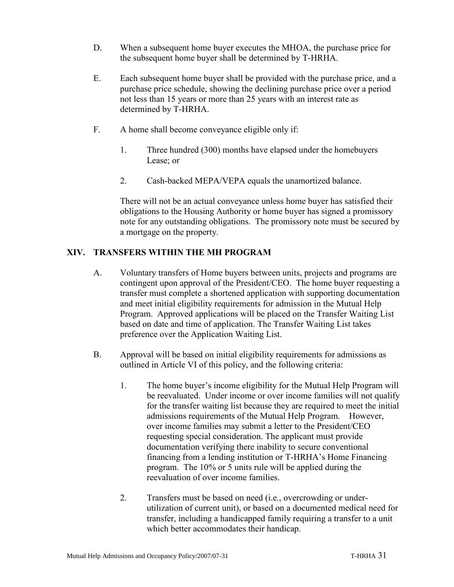- D. When a subsequent home buyer executes the MHOA, the purchase price for the subsequent home buyer shall be determined by T-HRHA.
- E. Each subsequent home buyer shall be provided with the purchase price, and a purchase price schedule, showing the declining purchase price over a period not less than 15 years or more than 25 years with an interest rate as determined by T-HRHA.
- F. A home shall become conveyance eligible only if:
	- 1. Three hundred (300) months have elapsed under the homebuyers Lease; or
	- 2. Cash-backed MEPA/VEPA equals the unamortized balance.

There will not be an actual conveyance unless home buyer has satisfied their obligations to the Housing Authority or home buyer has signed a promissory note for any outstanding obligations. The promissory note must be secured by a mortgage on the property.

#### **XIV. TRANSFERS WITHIN THE MH PROGRAM**

- A. Voluntary transfers of Home buyers between units, projects and programs are contingent upon approval of the President/CEO. The home buyer requesting a transfer must complete a shortened application with supporting documentation and meet initial eligibility requirements for admission in the Mutual Help Program. Approved applications will be placed on the Transfer Waiting List based on date and time of application. The Transfer Waiting List takes preference over the Application Waiting List.
- B. Approval will be based on initial eligibility requirements for admissions as outlined in Article VI of this policy, and the following criteria:
	- 1. The home buyer's income eligibility for the Mutual Help Program will be reevaluated. Under income or over income families will not qualify for the transfer waiting list because they are required to meet the initial admissions requirements of the Mutual Help Program. However, over income families may submit a letter to the President/CEO requesting special consideration. The applicant must provide documentation verifying there inability to secure conventional financing from a lending institution or T-HRHA's Home Financing program. The 10% or 5 units rule will be applied during the reevaluation of over income families.
	- 2. Transfers must be based on need (i.e., overcrowding or underutilization of current unit), or based on a documented medical need for transfer, including a handicapped family requiring a transfer to a unit which better accommodates their handicap.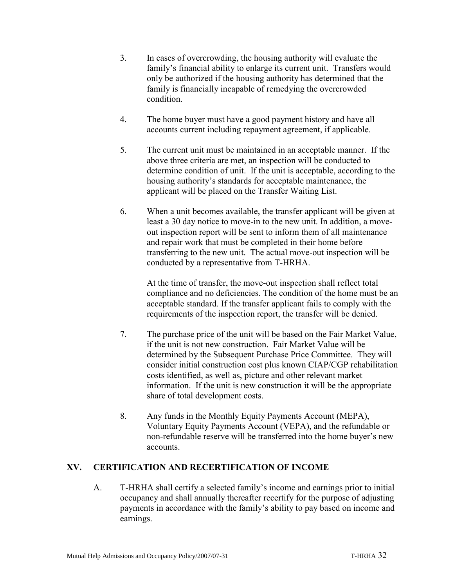- 3. In cases of overcrowding, the housing authority will evaluate the family's financial ability to enlarge its current unit. Transfers would only be authorized if the housing authority has determined that the family is financially incapable of remedying the overcrowded condition.
- 4. The home buyer must have a good payment history and have all accounts current including repayment agreement, if applicable.
- 5. The current unit must be maintained in an acceptable manner. If the above three criteria are met, an inspection will be conducted to determine condition of unit. If the unit is acceptable, according to the housing authority's standards for acceptable maintenance, the applicant will be placed on the Transfer Waiting List.
- 6. When a unit becomes available, the transfer applicant will be given at least a 30 day notice to move-in to the new unit. In addition, a moveout inspection report will be sent to inform them of all maintenance and repair work that must be completed in their home before transferring to the new unit. The actual move-out inspection will be conducted by a representative from T-HRHA.

At the time of transfer, the move-out inspection shall reflect total compliance and no deficiencies. The condition of the home must be an acceptable standard. If the transfer applicant fails to comply with the requirements of the inspection report, the transfer will be denied.

- 7. The purchase price of the unit will be based on the Fair Market Value, if the unit is not new construction. Fair Market Value will be determined by the Subsequent Purchase Price Committee. They will consider initial construction cost plus known CIAP/CGP rehabilitation costs identified, as well as, picture and other relevant market information. If the unit is new construction it will be the appropriate share of total development costs.
- 8. Any funds in the Monthly Equity Payments Account (MEPA), Voluntary Equity Payments Account (VEPA), and the refundable or non-refundable reserve will be transferred into the home buyer's new accounts.

#### **XV. CERTIFICATION AND RECERTIFICATION OF INCOME**

A. T-HRHA shall certify a selected family's income and earnings prior to initial occupancy and shall annually thereafter recertify for the purpose of adjusting payments in accordance with the family's ability to pay based on income and earnings.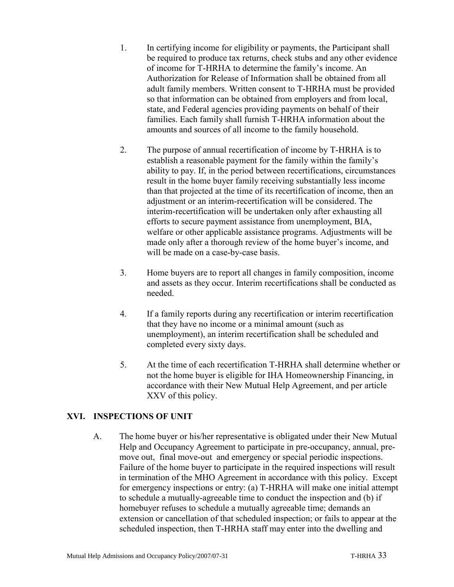- 1. In certifying income for eligibility or payments, the Participant shall be required to produce tax returns, check stubs and any other evidence of income for T-HRHA to determine the family's income. An Authorization for Release of Information shall be obtained from all adult family members. Written consent to T-HRHA must be provided so that information can be obtained from employers and from local, state, and Federal agencies providing payments on behalf of their families. Each family shall furnish T-HRHA information about the amounts and sources of all income to the family household.
- 2. The purpose of annual recertification of income by T-HRHA is to establish a reasonable payment for the family within the family's ability to pay. If, in the period between recertifications, circumstances result in the home buyer family receiving substantially less income than that projected at the time of its recertification of income, then an adjustment or an interim-recertification will be considered. The interim-recertification will be undertaken only after exhausting all efforts to secure payment assistance from unemployment, BIA, welfare or other applicable assistance programs. Adjustments will be made only after a thorough review of the home buyer's income, and will be made on a case-by-case basis.
- 3. Home buyers are to report all changes in family composition, income and assets as they occur. Interim recertifications shall be conducted as needed.
- 4. If a family reports during any recertification or interim recertification that they have no income or a minimal amount (such as unemployment), an interim recertification shall be scheduled and completed every sixty days.
- 5. At the time of each recertification T-HRHA shall determine whether or not the home buyer is eligible for IHA Homeownership Financing, in accordance with their New Mutual Help Agreement, and per article XXV of this policy.

#### **XVI. INSPECTIONS OF UNIT**

A. The home buyer or his/her representative is obligated under their New Mutual Help and Occupancy Agreement to participate in pre-occupancy, annual, premove out, final move-out and emergency or special periodic inspections. Failure of the home buyer to participate in the required inspections will result in termination of the MHO Agreement in accordance with this policy. Except for emergency inspections or entry: (a) T-HRHA will make one initial attempt to schedule a mutually-agreeable time to conduct the inspection and (b) if homebuyer refuses to schedule a mutually agreeable time; demands an extension or cancellation of that scheduled inspection; or fails to appear at the scheduled inspection, then T-HRHA staff may enter into the dwelling and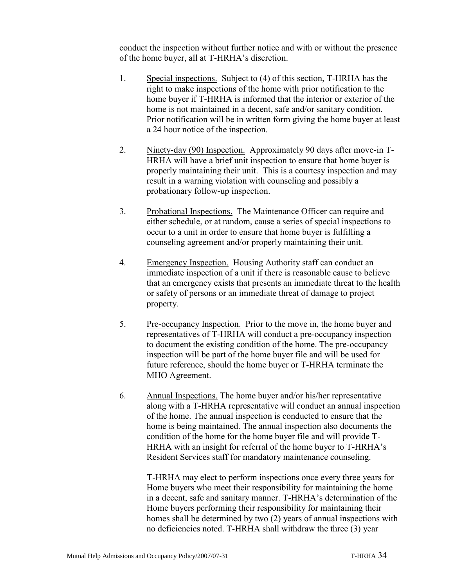conduct the inspection without further notice and with or without the presence of the home buyer, all at T-HRHA's discretion.

- 1. Special inspections. Subject to (4) of this section, T-HRHA has the right to make inspections of the home with prior notification to the home buyer if T-HRHA is informed that the interior or exterior of the home is not maintained in a decent, safe and/or sanitary condition. Prior notification will be in written form giving the home buyer at least a 24 hour notice of the inspection.
- 2. Ninety-day (90) Inspection. Approximately 90 days after move-in T-HRHA will have a brief unit inspection to ensure that home buyer is properly maintaining their unit. This is a courtesy inspection and may result in a warning violation with counseling and possibly a probationary follow-up inspection.
- 3. Probational Inspections. The Maintenance Officer can require and either schedule, or at random, cause a series of special inspections to occur to a unit in order to ensure that home buyer is fulfilling a counseling agreement and/or properly maintaining their unit.
- 4. Emergency Inspection. Housing Authority staff can conduct an immediate inspection of a unit if there is reasonable cause to believe that an emergency exists that presents an immediate threat to the health or safety of persons or an immediate threat of damage to project property.
- 5. Pre-occupancy Inspection. Prior to the move in, the home buyer and representatives of T-HRHA will conduct a pre-occupancy inspection to document the existing condition of the home. The pre-occupancy inspection will be part of the home buyer file and will be used for future reference, should the home buyer or T-HRHA terminate the MHO Agreement.
- 6. Annual Inspections. The home buyer and/or his/her representative along with a T-HRHA representative will conduct an annual inspection of the home. The annual inspection is conducted to ensure that the home is being maintained. The annual inspection also documents the condition of the home for the home buyer file and will provide T-HRHA with an insight for referral of the home buyer to T-HRHA's Resident Services staff for mandatory maintenance counseling.

T-HRHA may elect to perform inspections once every three years for Home buyers who meet their responsibility for maintaining the home in a decent, safe and sanitary manner. T-HRHA's determination of the Home buyers performing their responsibility for maintaining their homes shall be determined by two (2) years of annual inspections with no deficiencies noted. T-HRHA shall withdraw the three (3) year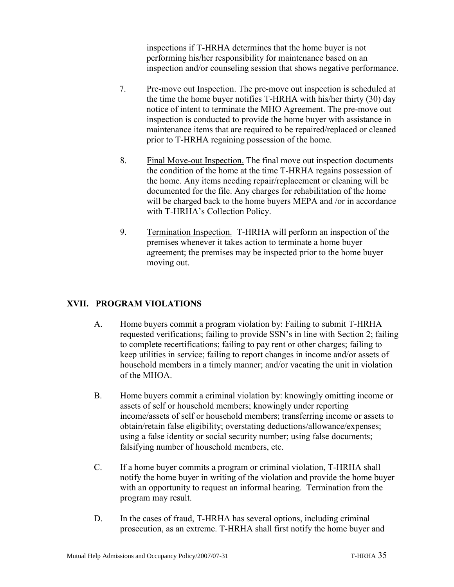inspections if T-HRHA determines that the home buyer is not performing his/her responsibility for maintenance based on an inspection and/or counseling session that shows negative performance.

- 7. Pre-move out Inspection. The pre-move out inspection is scheduled at the time the home buyer notifies T-HRHA with his/her thirty (30) day notice of intent to terminate the MHO Agreement. The pre-move out inspection is conducted to provide the home buyer with assistance in maintenance items that are required to be repaired/replaced or cleaned prior to T-HRHA regaining possession of the home.
- 8. Final Move-out Inspection. The final move out inspection documents the condition of the home at the time T-HRHA regains possession of the home. Any items needing repair/replacement or cleaning will be documented for the file. Any charges for rehabilitation of the home will be charged back to the home buyers MEPA and /or in accordance with T-HRHA's Collection Policy.
- 9. Termination Inspection. T-HRHA will perform an inspection of the premises whenever it takes action to terminate a home buyer agreement; the premises may be inspected prior to the home buyer moving out.

#### **XVII. PROGRAM VIOLATIONS**

- A. Home buyers commit a program violation by: Failing to submit T-HRHA requested verifications; failing to provide SSN's in line with Section 2; failing to complete recertifications; failing to pay rent or other charges; failing to keep utilities in service; failing to report changes in income and/or assets of household members in a timely manner; and/or vacating the unit in violation of the MHOA.
- B. Home buyers commit a criminal violation by: knowingly omitting income or assets of self or household members; knowingly under reporting income/assets of self or household members; transferring income or assets to obtain/retain false eligibility; overstating deductions/allowance/expenses; using a false identity or social security number; using false documents; falsifying number of household members, etc.
- C. If a home buyer commits a program or criminal violation, T-HRHA shall notify the home buyer in writing of the violation and provide the home buyer with an opportunity to request an informal hearing. Termination from the program may result.
- D. In the cases of fraud, T-HRHA has several options, including criminal prosecution, as an extreme. T-HRHA shall first notify the home buyer and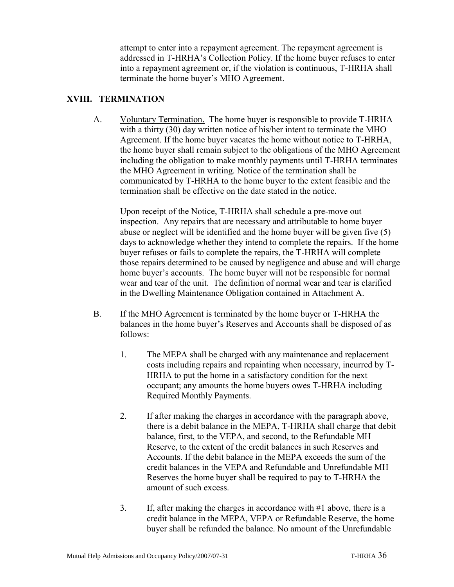attempt to enter into a repayment agreement. The repayment agreement is addressed in T-HRHA's Collection Policy. If the home buyer refuses to enter into a repayment agreement or, if the violation is continuous, T-HRHA shall terminate the home buyer's MHO Agreement.

#### **XVIII. TERMINATION**

A. Voluntary Termination. The home buyer is responsible to provide T-HRHA with a thirty (30) day written notice of his/her intent to terminate the MHO Agreement. If the home buyer vacates the home without notice to T-HRHA, the home buyer shall remain subject to the obligations of the MHO Agreement including the obligation to make monthly payments until T-HRHA terminates the MHO Agreement in writing. Notice of the termination shall be communicated by T-HRHA to the home buyer to the extent feasible and the termination shall be effective on the date stated in the notice.

Upon receipt of the Notice, T-HRHA shall schedule a pre-move out inspection. Any repairs that are necessary and attributable to home buyer abuse or neglect will be identified and the home buyer will be given five (5) days to acknowledge whether they intend to complete the repairs. If the home buyer refuses or fails to complete the repairs, the T-HRHA will complete those repairs determined to be caused by negligence and abuse and will charge home buyer's accounts. The home buyer will not be responsible for normal wear and tear of the unit. The definition of normal wear and tear is clarified in the Dwelling Maintenance Obligation contained in Attachment A.

- B. If the MHO Agreement is terminated by the home buyer or T-HRHA the balances in the home buyer's Reserves and Accounts shall be disposed of as follows:
	- 1. The MEPA shall be charged with any maintenance and replacement costs including repairs and repainting when necessary, incurred by T-HRHA to put the home in a satisfactory condition for the next occupant; any amounts the home buyers owes T-HRHA including Required Monthly Payments.
	- 2. If after making the charges in accordance with the paragraph above, there is a debit balance in the MEPA, T-HRHA shall charge that debit balance, first, to the VEPA, and second, to the Refundable MH Reserve, to the extent of the credit balances in such Reserves and Accounts. If the debit balance in the MEPA exceeds the sum of the credit balances in the VEPA and Refundable and Unrefundable MH Reserves the home buyer shall be required to pay to T-HRHA the amount of such excess.
	- 3. If, after making the charges in accordance with #1 above, there is a credit balance in the MEPA, VEPA or Refundable Reserve, the home buyer shall be refunded the balance. No amount of the Unrefundable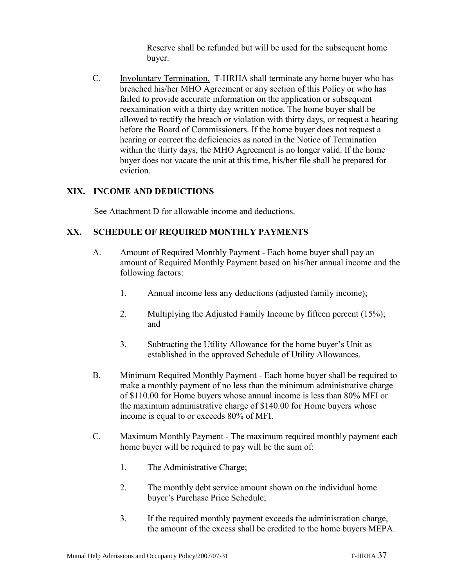Reserve shall be refunded but will be used for the subsequent home buyer.

C. Involuntary Termination. T-HRHA shall terminate any home buyer who has breached his/her MHO Agreement or any section of this Policy or who has failed to provide accurate information on the application or subsequent reexamination with a thirty day written notice. The home buyer shall be allowed to rectify the breach or violation with thirty days, or request a hearing before the Board of Commissioners. If the home buyer does not request a hearing or correct the deficiencies as noted in the Notice of Termination within the thirty days, the MHO Agreement is no longer valid. If the home buyer does not vacate the unit at this time, his/her file shall be prepared for eviction.

#### **XIX. INCOME AND DEDUCTIONS**

See Attachment D for allowable income and deductions.

#### **XX. SCHEDULE OF REQUIRED MONTHLY PAYMENTS**

- A. Amount of Required Monthly Payment Each home buyer shall pay an amount of Required Monthly Payment based on his/her annual income and the following factors:
	- 1. Annual income less any deductions (adjusted family income);
	- 2. Multiplying the Adjusted Family Income by fifteen percent (15%); and
	- 3. Subtracting the Utility Allowance for the home buyer's Unit as established in the approved Schedule of Utility Allowances.
- B. Minimum Required Monthly Payment Each home buyer shall be required to make a monthly payment of no less than the minimum administrative charge of \$110.00 for Home buyers whose annual income is less than 80% MFI or the maximum administrative charge of \$140.00 for Home buyers whose income is equal to or exceeds 80% of MFI.
- C. Maximum Monthly Payment The maximum required monthly payment each home buyer will be required to pay will be the sum of:
	- 1. The Administrative Charge;
	- 2. The monthly debt service amount shown on the individual home buyer's Purchase Price Schedule;
	- 3. If the required monthly payment exceeds the administration charge, the amount of the excess shall be credited to the home buyers MEPA.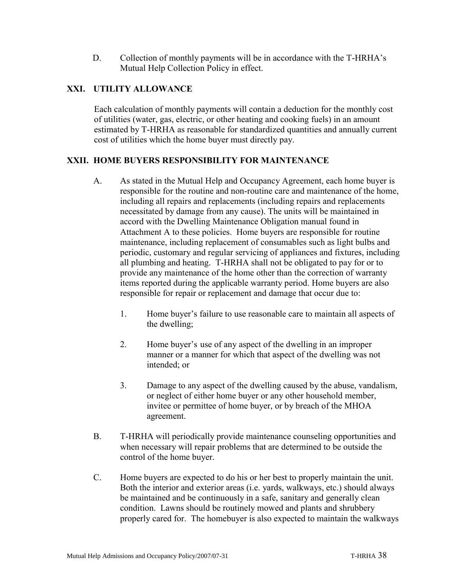D. Collection of monthly payments will be in accordance with the T-HRHA's Mutual Help Collection Policy in effect.

#### **XXI. UTILITY ALLOWANCE**

Each calculation of monthly payments will contain a deduction for the monthly cost of utilities (water, gas, electric, or other heating and cooking fuels) in an amount estimated by T-HRHA as reasonable for standardized quantities and annually current cost of utilities which the home buyer must directly pay.

#### **XXII. HOME BUYERS RESPONSIBILITY FOR MAINTENANCE**

- A. As stated in the Mutual Help and Occupancy Agreement, each home buyer is responsible for the routine and non-routine care and maintenance of the home, including all repairs and replacements (including repairs and replacements necessitated by damage from any cause). The units will be maintained in accord with the Dwelling Maintenance Obligation manual found in Attachment A to these policies. Home buyers are responsible for routine maintenance, including replacement of consumables such as light bulbs and periodic, customary and regular servicing of appliances and fixtures, including all plumbing and heating. T-HRHA shall not be obligated to pay for or to provide any maintenance of the home other than the correction of warranty items reported during the applicable warranty period. Home buyers are also responsible for repair or replacement and damage that occur due to:
	- 1. Home buyer's failure to use reasonable care to maintain all aspects of the dwelling;
	- 2. Home buyer's use of any aspect of the dwelling in an improper manner or a manner for which that aspect of the dwelling was not intended; or
	- 3. Damage to any aspect of the dwelling caused by the abuse, vandalism, or neglect of either home buyer or any other household member, invitee or permittee of home buyer, or by breach of the MHOA agreement.
- B. T-HRHA will periodically provide maintenance counseling opportunities and when necessary will repair problems that are determined to be outside the control of the home buyer.
- C. Home buyers are expected to do his or her best to properly maintain the unit. Both the interior and exterior areas (i.e. yards, walkways, etc.) should always be maintained and be continuously in a safe, sanitary and generally clean condition. Lawns should be routinely mowed and plants and shrubbery properly cared for. The homebuyer is also expected to maintain the walkways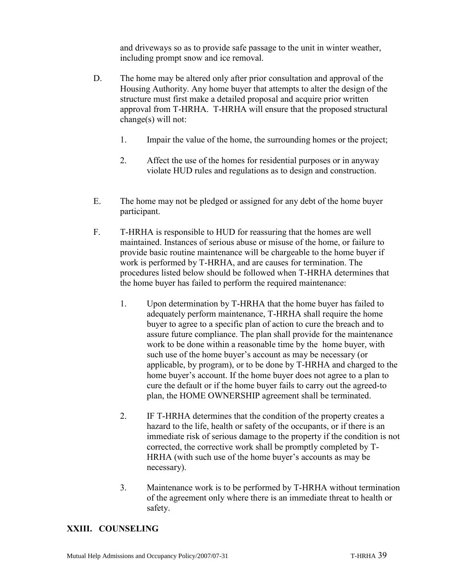and driveways so as to provide safe passage to the unit in winter weather, including prompt snow and ice removal.

- D. The home may be altered only after prior consultation and approval of the Housing Authority. Any home buyer that attempts to alter the design of the structure must first make a detailed proposal and acquire prior written approval from T-HRHA. T-HRHA will ensure that the proposed structural change(s) will not:
	- 1. Impair the value of the home, the surrounding homes or the project;
	- 2. Affect the use of the homes for residential purposes or in anyway violate HUD rules and regulations as to design and construction.
- E. The home may not be pledged or assigned for any debt of the home buyer participant.
- F. T-HRHA is responsible to HUD for reassuring that the homes are well maintained. Instances of serious abuse or misuse of the home, or failure to provide basic routine maintenance will be chargeable to the home buyer if work is performed by T-HRHA, and are causes for termination. The procedures listed below should be followed when T-HRHA determines that the home buyer has failed to perform the required maintenance:
	- 1. Upon determination by T-HRHA that the home buyer has failed to adequately perform maintenance, T-HRHA shall require the home buyer to agree to a specific plan of action to cure the breach and to assure future compliance. The plan shall provide for the maintenance work to be done within a reasonable time by the home buyer, with such use of the home buyer's account as may be necessary (or applicable, by program), or to be done by T-HRHA and charged to the home buyer's account. If the home buyer does not agree to a plan to cure the default or if the home buyer fails to carry out the agreed-to plan, the HOME OWNERSHIP agreement shall be terminated.
	- 2. IF T-HRHA determines that the condition of the property creates a hazard to the life, health or safety of the occupants, or if there is an immediate risk of serious damage to the property if the condition is not corrected, the corrective work shall be promptly completed by T-HRHA (with such use of the home buyer's accounts as may be necessary).
	- 3. Maintenance work is to be performed by T-HRHA without termination of the agreement only where there is an immediate threat to health or safety.

#### **XXIII. COUNSELING**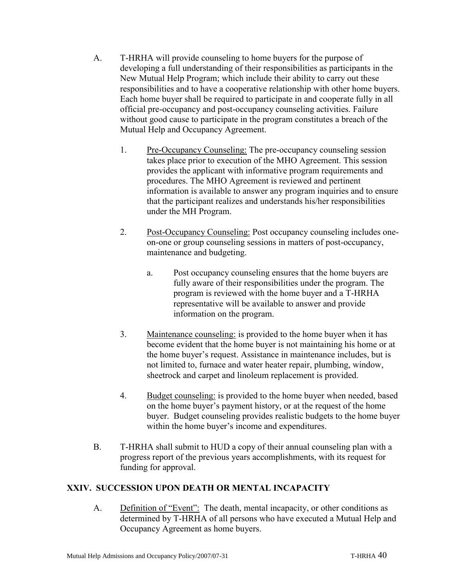- A. T-HRHA will provide counseling to home buyers for the purpose of developing a full understanding of their responsibilities as participants in the New Mutual Help Program; which include their ability to carry out these responsibilities and to have a cooperative relationship with other home buyers. Each home buyer shall be required to participate in and cooperate fully in all official pre-occupancy and post-occupancy counseling activities. Failure without good cause to participate in the program constitutes a breach of the Mutual Help and Occupancy Agreement.
	- 1. Pre-Occupancy Counseling: The pre-occupancy counseling session takes place prior to execution of the MHO Agreement. This session provides the applicant with informative program requirements and procedures. The MHO Agreement is reviewed and pertinent information is available to answer any program inquiries and to ensure that the participant realizes and understands his/her responsibilities under the MH Program.
	- 2. Post-Occupancy Counseling: Post occupancy counseling includes oneon-one or group counseling sessions in matters of post-occupancy, maintenance and budgeting.
		- a. Post occupancy counseling ensures that the home buyers are fully aware of their responsibilities under the program. The program is reviewed with the home buyer and a T-HRHA representative will be available to answer and provide information on the program.
	- 3. Maintenance counseling: is provided to the home buyer when it has become evident that the home buyer is not maintaining his home or at the home buyer's request. Assistance in maintenance includes, but is not limited to, furnace and water heater repair, plumbing, window, sheetrock and carpet and linoleum replacement is provided.
	- 4. Budget counseling: is provided to the home buyer when needed, based on the home buyer's payment history, or at the request of the home buyer. Budget counseling provides realistic budgets to the home buyer within the home buyer's income and expenditures.
- B. T-HRHA shall submit to HUD a copy of their annual counseling plan with a progress report of the previous years accomplishments, with its request for funding for approval.

#### **XXIV. SUCCESSION UPON DEATH OR MENTAL INCAPACITY**

A. Definition of "Event": The death, mental incapacity, or other conditions as determined by T-HRHA of all persons who have executed a Mutual Help and Occupancy Agreement as home buyers.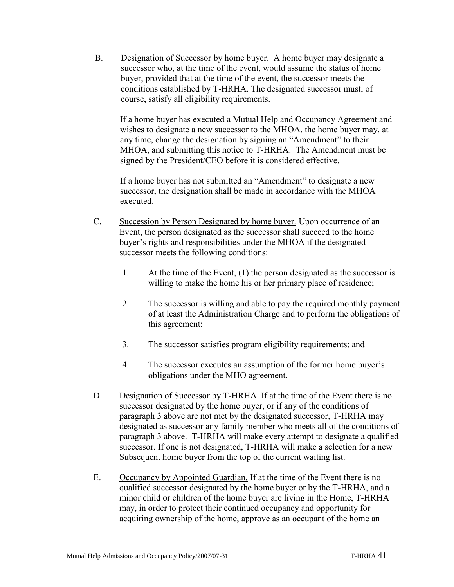B. Designation of Successor by home buyer. A home buyer may designate a successor who, at the time of the event, would assume the status of home buyer, provided that at the time of the event, the successor meets the conditions established by T-HRHA. The designated successor must, of course, satisfy all eligibility requirements.

If a home buyer has executed a Mutual Help and Occupancy Agreement and wishes to designate a new successor to the MHOA, the home buyer may, at any time, change the designation by signing an "Amendment" to their MHOA, and submitting this notice to T-HRHA. The Amendment must be signed by the President/CEO before it is considered effective.

If a home buyer has not submitted an "Amendment" to designate a new successor, the designation shall be made in accordance with the MHOA executed.

- C. Succession by Person Designated by home buyer. Upon occurrence of an Event, the person designated as the successor shall succeed to the home buyer's rights and responsibilities under the MHOA if the designated successor meets the following conditions:
	- 1. At the time of the Event, (1) the person designated as the successor is willing to make the home his or her primary place of residence;
	- 2. The successor is willing and able to pay the required monthly payment of at least the Administration Charge and to perform the obligations of this agreement;
	- 3. The successor satisfies program eligibility requirements; and
	- 4. The successor executes an assumption of the former home buyer's obligations under the MHO agreement.
- D. Designation of Successor by T-HRHA. If at the time of the Event there is no successor designated by the home buyer, or if any of the conditions of paragraph 3 above are not met by the designated successor, T-HRHA may designated as successor any family member who meets all of the conditions of paragraph 3 above. T-HRHA will make every attempt to designate a qualified successor. If one is not designated, T-HRHA will make a selection for a new Subsequent home buyer from the top of the current waiting list.
- E. Occupancy by Appointed Guardian. If at the time of the Event there is no qualified successor designated by the home buyer or by the T-HRHA, and a minor child or children of the home buyer are living in the Home, T-HRHA may, in order to protect their continued occupancy and opportunity for acquiring ownership of the home, approve as an occupant of the home an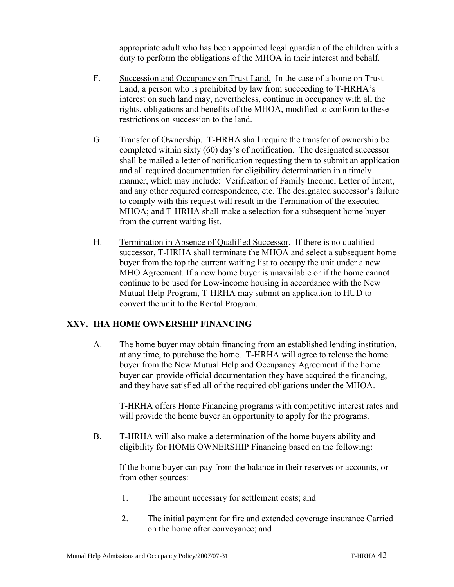appropriate adult who has been appointed legal guardian of the children with a duty to perform the obligations of the MHOA in their interest and behalf.

- F. Succession and Occupancy on Trust Land. In the case of a home on Trust Land, a person who is prohibited by law from succeeding to T-HRHA's interest on such land may, nevertheless, continue in occupancy with all the rights, obligations and benefits of the MHOA, modified to conform to these restrictions on succession to the land.
- G. Transfer of Ownership. T-HRHA shall require the transfer of ownership be completed within sixty (60) day's of notification. The designated successor shall be mailed a letter of notification requesting them to submit an application and all required documentation for eligibility determination in a timely manner, which may include: Verification of Family Income, Letter of Intent, and any other required correspondence, etc. The designated successor's failure to comply with this request will result in the Termination of the executed MHOA; and T-HRHA shall make a selection for a subsequent home buyer from the current waiting list.
- H. Termination in Absence of Qualified Successor. If there is no qualified successor, T-HRHA shall terminate the MHOA and select a subsequent home buyer from the top the current waiting list to occupy the unit under a new MHO Agreement. If a new home buyer is unavailable or if the home cannot continue to be used for Low-income housing in accordance with the New Mutual Help Program, T-HRHA may submit an application to HUD to convert the unit to the Rental Program.

#### **XXV. IHA HOME OWNERSHIP FINANCING**

A. The home buyer may obtain financing from an established lending institution, at any time, to purchase the home. T-HRHA will agree to release the home buyer from the New Mutual Help and Occupancy Agreement if the home buyer can provide official documentation they have acquired the financing, and they have satisfied all of the required obligations under the MHOA.

T-HRHA offers Home Financing programs with competitive interest rates and will provide the home buyer an opportunity to apply for the programs.

B. T-HRHA will also make a determination of the home buyers ability and eligibility for HOME OWNERSHIP Financing based on the following:

If the home buyer can pay from the balance in their reserves or accounts, or from other sources:

- 1. The amount necessary for settlement costs; and
- 2. The initial payment for fire and extended coverage insurance Carried on the home after conveyance; and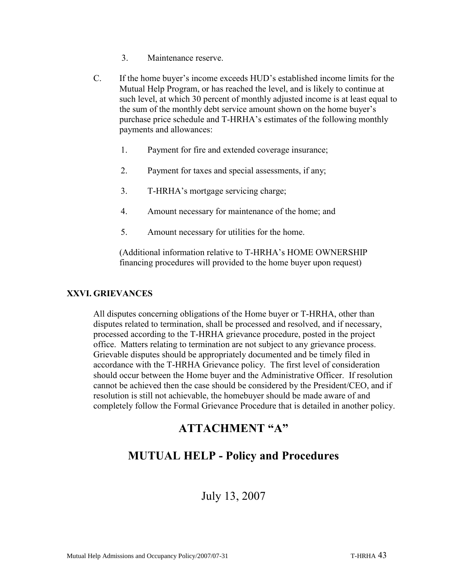- 3. Maintenance reserve.
- C. If the home buyer's income exceeds HUD's established income limits for the Mutual Help Program, or has reached the level, and is likely to continue at such level, at which 30 percent of monthly adjusted income is at least equal to the sum of the monthly debt service amount shown on the home buyer's purchase price schedule and T-HRHA's estimates of the following monthly payments and allowances:
	- 1. Payment for fire and extended coverage insurance;
	- 2. Payment for taxes and special assessments, if any;
	- 3. T-HRHA's mortgage servicing charge;
	- 4. Amount necessary for maintenance of the home; and
	- 5. Amount necessary for utilities for the home.

(Additional information relative to T-HRHA's HOME OWNERSHIP financing procedures will provided to the home buyer upon request)

#### **XXVI. GRIEVANCES**

All disputes concerning obligations of the Home buyer or T-HRHA, other than disputes related to termination, shall be processed and resolved, and if necessary, processed according to the T-HRHA grievance procedure, posted in the project office. Matters relating to termination are not subject to any grievance process. Grievable disputes should be appropriately documented and be timely filed in accordance with the T-HRHA Grievance policy. The first level of consideration should occur between the Home buyer and the Administrative Officer. If resolution cannot be achieved then the case should be considered by the President/CEO, and if resolution is still not achievable, the homebuyer should be made aware of and completely follow the Formal Grievance Procedure that is detailed in another policy.

### **ATTACHMENT "A"**

## **MUTUAL HELP - Policy and Procedures**

July 13, 2007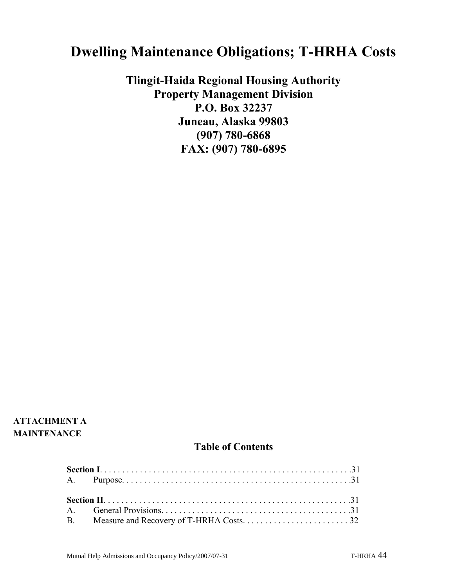# **Dwelling Maintenance Obligations; T-HRHA Costs**

**Tlingit-Haida Regional Housing Authority Property Management Division P.O. Box 32237 Juneau, Alaska 99803 (907) 780-6868 FAX: (907) 780-6895**

#### **ATTACHMENT A MAINTENANCE**

#### **Table of Contents**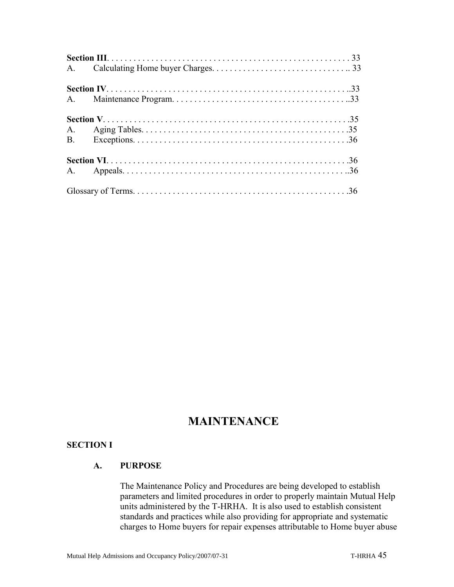## **MAINTENANCE**

#### **SECTION I**

#### **A. PURPOSE**

The Maintenance Policy and Procedures are being developed to establish parameters and limited procedures in order to properly maintain Mutual Help units administered by the T-HRHA. It is also used to establish consistent standards and practices while also providing for appropriate and systematic charges to Home buyers for repair expenses attributable to Home buyer abuse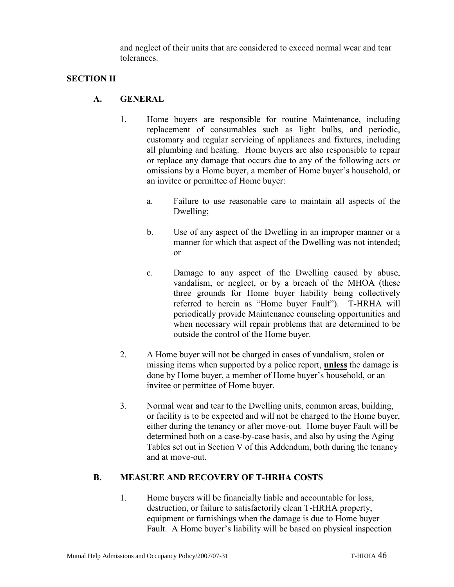and neglect of their units that are considered to exceed normal wear and tear tolerances.

#### **SECTION II**

#### **A. GENERAL**

- 1. Home buyers are responsible for routine Maintenance, including replacement of consumables such as light bulbs, and periodic, customary and regular servicing of appliances and fixtures, including all plumbing and heating. Home buyers are also responsible to repair or replace any damage that occurs due to any of the following acts or omissions by a Home buyer, a member of Home buyer's household, or an invitee or permittee of Home buyer:
	- a. Failure to use reasonable care to maintain all aspects of the Dwelling;
	- b. Use of any aspect of the Dwelling in an improper manner or a manner for which that aspect of the Dwelling was not intended; or
	- c. Damage to any aspect of the Dwelling caused by abuse, vandalism, or neglect, or by a breach of the MHOA (these three grounds for Home buyer liability being collectively referred to herein as "Home buyer Fault"). T-HRHA will periodically provide Maintenance counseling opportunities and when necessary will repair problems that are determined to be outside the control of the Home buyer.
- 2. A Home buyer will not be charged in cases of vandalism, stolen or missing items when supported by a police report, **unless** the damage is done by Home buyer, a member of Home buyer's household, or an invitee or permittee of Home buyer.
- 3. Normal wear and tear to the Dwelling units, common areas, building, or facility is to be expected and will not be charged to the Home buyer, either during the tenancy or after move-out. Home buyer Fault will be determined both on a case-by-case basis, and also by using the Aging Tables set out in Section V of this Addendum, both during the tenancy and at move-out.

#### **B. MEASURE AND RECOVERY OF T-HRHA COSTS**

1. Home buyers will be financially liable and accountable for loss, destruction, or failure to satisfactorily clean T-HRHA property, equipment or furnishings when the damage is due to Home buyer Fault. A Home buyer's liability will be based on physical inspection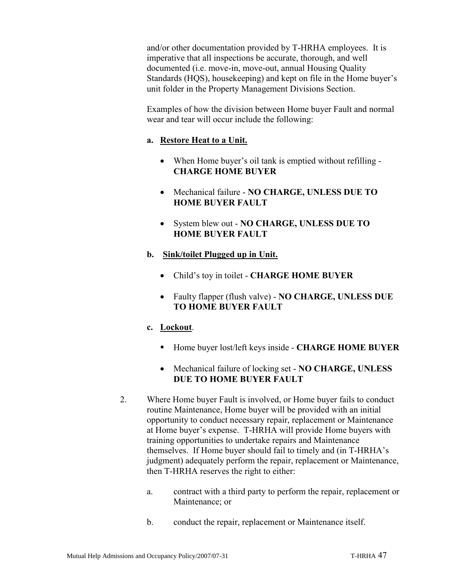and/or other documentation provided by T-HRHA employees. It is imperative that all inspections be accurate, thorough, and well documented (i.e. move-in, move-out, annual Housing Quality Standards (HQS), housekeeping) and kept on file in the Home buyer's unit folder in the Property Management Divisions Section.

Examples of how the division between Home buyer Fault and normal wear and tear will occur include the following:

#### **a. Restore Heat to a Unit.**

- When Home buyer's oil tank is emptied without refilling **CHARGE HOME BUYER**
- Mechanical failure **NO CHARGE, UNLESS DUE TO HOME BUYER FAULT**
- System blew out **NO CHARGE, UNLESS DUE TO HOME BUYER FAULT**
- **b. Sink/toilet Plugged up in Unit.**
	- Child's toy in toilet **CHARGE HOME BUYER**
	- Faulty flapper (flush valve) **NO CHARGE, UNLESS DUE TO HOME BUYER FAULT**

#### **c. Lockout**.

- Home buyer lost/left keys inside **CHARGE HOME BUYER**
- Mechanical failure of locking set **NO CHARGE, UNLESS DUE TO HOME BUYER FAULT**
- 2. Where Home buyer Fault is involved, or Home buyer fails to conduct routine Maintenance, Home buyer will be provided with an initial opportunity to conduct necessary repair, replacement or Maintenance at Home buyer's expense. T-HRHA will provide Home buyers with training opportunities to undertake repairs and Maintenance themselves. If Home buyer should fail to timely and (in T-HRHA's judgment) adequately perform the repair, replacement or Maintenance, then T-HRHA reserves the right to either:
	- a. contract with a third party to perform the repair, replacement or Maintenance; or
	- b. conduct the repair, replacement or Maintenance itself.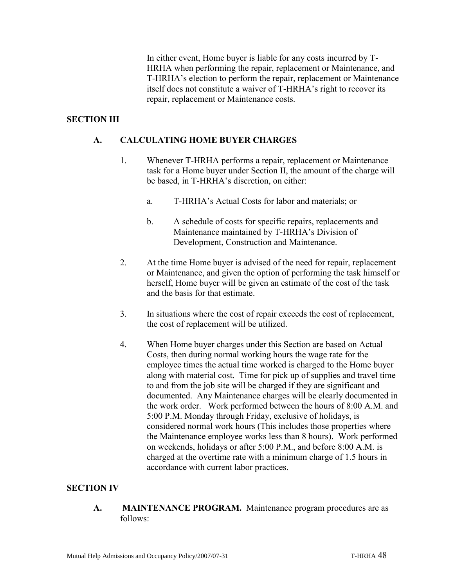In either event, Home buyer is liable for any costs incurred by T-HRHA when performing the repair, replacement or Maintenance, and T-HRHA's election to perform the repair, replacement or Maintenance itself does not constitute a waiver of T-HRHA's right to recover its repair, replacement or Maintenance costs.

#### **SECTION III**

#### **A. CALCULATING HOME BUYER CHARGES**

- 1. Whenever T-HRHA performs a repair, replacement or Maintenance task for a Home buyer under Section II, the amount of the charge will be based, in T-HRHA's discretion, on either:
	- a. T-HRHA's Actual Costs for labor and materials; or
	- b. A schedule of costs for specific repairs, replacements and Maintenance maintained by T-HRHA's Division of Development, Construction and Maintenance.
- 2. At the time Home buyer is advised of the need for repair, replacement or Maintenance, and given the option of performing the task himself or herself, Home buyer will be given an estimate of the cost of the task and the basis for that estimate.
- 3. In situations where the cost of repair exceeds the cost of replacement, the cost of replacement will be utilized.
- 4. When Home buyer charges under this Section are based on Actual Costs, then during normal working hours the wage rate for the employee times the actual time worked is charged to the Home buyer along with material cost. Time for pick up of supplies and travel time to and from the job site will be charged if they are significant and documented. Any Maintenance charges will be clearly documented in the work order. Work performed between the hours of 8:00 A.M. and 5:00 P.M. Monday through Friday, exclusive of holidays, is considered normal work hours (This includes those properties where the Maintenance employee works less than 8 hours). Work performed on weekends, holidays or after 5:00 P.M., and before 8:00 A.M. is charged at the overtime rate with a minimum charge of 1.5 hours in accordance with current labor practices.

#### **SECTION IV**

**A. MAINTENANCE PROGRAM.** Maintenance program procedures are as follows: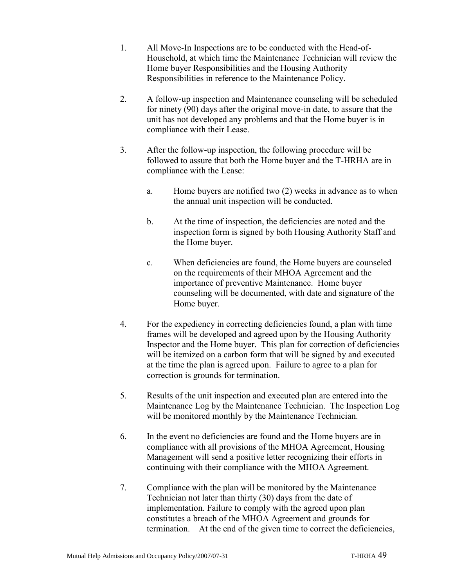- 1. All Move-In Inspections are to be conducted with the Head-of-Household, at which time the Maintenance Technician will review the Home buyer Responsibilities and the Housing Authority Responsibilities in reference to the Maintenance Policy.
- 2. A follow-up inspection and Maintenance counseling will be scheduled for ninety (90) days after the original move-in date, to assure that the unit has not developed any problems and that the Home buyer is in compliance with their Lease.
- 3. After the follow-up inspection, the following procedure will be followed to assure that both the Home buyer and the T-HRHA are in compliance with the Lease:
	- a. Home buyers are notified two (2) weeks in advance as to when the annual unit inspection will be conducted.
	- b. At the time of inspection, the deficiencies are noted and the inspection form is signed by both Housing Authority Staff and the Home buyer.
	- c. When deficiencies are found, the Home buyers are counseled on the requirements of their MHOA Agreement and the importance of preventive Maintenance. Home buyer counseling will be documented, with date and signature of the Home buyer.
- 4. For the expediency in correcting deficiencies found, a plan with time frames will be developed and agreed upon by the Housing Authority Inspector and the Home buyer. This plan for correction of deficiencies will be itemized on a carbon form that will be signed by and executed at the time the plan is agreed upon. Failure to agree to a plan for correction is grounds for termination.
- 5. Results of the unit inspection and executed plan are entered into the Maintenance Log by the Maintenance Technician. The Inspection Log will be monitored monthly by the Maintenance Technician.
- 6. In the event no deficiencies are found and the Home buyers are in compliance with all provisions of the MHOA Agreement, Housing Management will send a positive letter recognizing their efforts in continuing with their compliance with the MHOA Agreement.
- 7. Compliance with the plan will be monitored by the Maintenance Technician not later than thirty (30) days from the date of implementation. Failure to comply with the agreed upon plan constitutes a breach of the MHOA Agreement and grounds for termination. At the end of the given time to correct the deficiencies,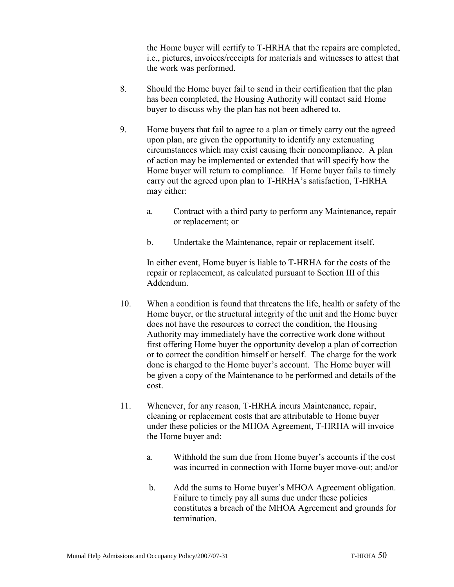the Home buyer will certify to T-HRHA that the repairs are completed, i.e., pictures, invoices/receipts for materials and witnesses to attest that the work was performed.

- 8. Should the Home buyer fail to send in their certification that the plan has been completed, the Housing Authority will contact said Home buyer to discuss why the plan has not been adhered to.
- 9. Home buyers that fail to agree to a plan or timely carry out the agreed upon plan, are given the opportunity to identify any extenuating circumstances which may exist causing their noncompliance. A plan of action may be implemented or extended that will specify how the Home buyer will return to compliance. If Home buyer fails to timely carry out the agreed upon plan to T-HRHA's satisfaction, T-HRHA may either:
	- a. Contract with a third party to perform any Maintenance, repair or replacement; or
	- b. Undertake the Maintenance, repair or replacement itself.

In either event, Home buyer is liable to T-HRHA for the costs of the repair or replacement, as calculated pursuant to Section III of this Addendum.

- 10. When a condition is found that threatens the life, health or safety of the Home buyer, or the structural integrity of the unit and the Home buyer does not have the resources to correct the condition, the Housing Authority may immediately have the corrective work done without first offering Home buyer the opportunity develop a plan of correction or to correct the condition himself or herself. The charge for the work done is charged to the Home buyer's account. The Home buyer will be given a copy of the Maintenance to be performed and details of the cost.
- 11. Whenever, for any reason, T-HRHA incurs Maintenance, repair, cleaning or replacement costs that are attributable to Home buyer under these policies or the MHOA Agreement, T-HRHA will invoice the Home buyer and:
	- a. Withhold the sum due from Home buyer's accounts if the cost was incurred in connection with Home buyer move-out; and/or
	- b. Add the sums to Home buyer's MHOA Agreement obligation. Failure to timely pay all sums due under these policies constitutes a breach of the MHOA Agreement and grounds for termination.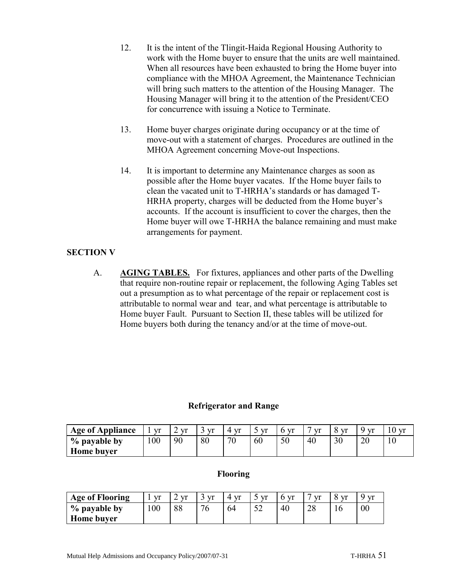- 12. It is the intent of the Tlingit-Haida Regional Housing Authority to work with the Home buyer to ensure that the units are well maintained. When all resources have been exhausted to bring the Home buyer into compliance with the MHOA Agreement, the Maintenance Technician will bring such matters to the attention of the Housing Manager. The Housing Manager will bring it to the attention of the President/CEO for concurrence with issuing a Notice to Terminate.
- 13. Home buyer charges originate during occupancy or at the time of move-out with a statement of charges. Procedures are outlined in the MHOA Agreement concerning Move-out Inspections.
- 14. It is important to determine any Maintenance charges as soon as possible after the Home buyer vacates. If the Home buyer fails to clean the vacated unit to T-HRHA's standards or has damaged T-HRHA property, charges will be deducted from the Home buyer's accounts. If the account is insufficient to cover the charges, then the Home buyer will owe T-HRHA the balance remaining and must make arrangements for payment.

#### **SECTION V**

A. **AGING TABLES.** For fixtures, appliances and other parts of the Dwelling that require non-routine repair or replacement, the following Aging Tables set out a presumption as to what percentage of the repair or replacement cost is attributable to normal wear and tear, and what percentage is attributable to Home buyer Fault. Pursuant to Section II, these tables will be utilized for Home buyers both during the tenancy and/or at the time of move-out.

#### **Refrigerator and Range**

| <b>Age of Appliance</b> | $V^r$ | $V^r$ | <b>Vr</b> | <b>Vr</b> | vr | Vf | vr | $\mathbf{r}$ | $V^r$ | ) vr |
|-------------------------|-------|-------|-----------|-----------|----|----|----|--------------|-------|------|
| % payable by            | 100   | 90    | 80        | 70        | 60 | 50 | 40 | 30           | 20    | 10   |
| Home buyer              |       |       |           |           |    |    |    |              |       |      |

#### **Flooring**

| <b>Age of Flooring</b> | vr  | Vf | vr | $V^r$ | $\mathbf{r}$      | $V^r$ | $V^r$        | $V^r$ | $V^r$  |
|------------------------|-----|----|----|-------|-------------------|-------|--------------|-------|--------|
| % payable by           | 100 | 88 | 76 | 64    | $5^{\circ}$<br>◡▵ | 40    | $\cap$<br>20 | 10    | $00\,$ |
| <b>Home buyer</b>      |     |    |    |       |                   |       |              |       |        |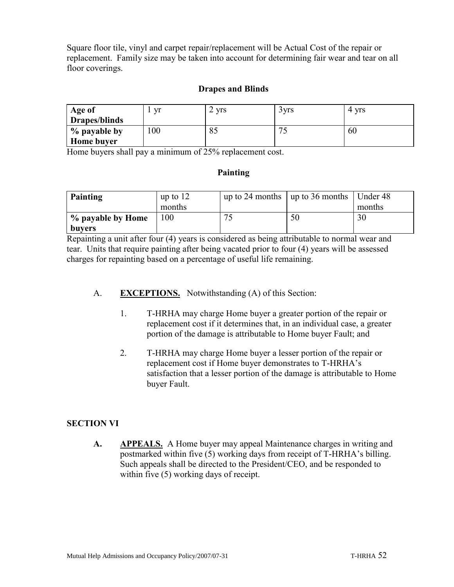Square floor tile, vinyl and carpet repair/replacement will be Actual Cost of the repair or replacement. Family size may be taken into account for determining fair wear and tear on all floor coverings.

#### **Drapes and Blinds**

| Age of        | yr  | <b>Vrs</b><br>∠    | 3 yrs  | <b>Vrs</b><br>4 |
|---------------|-----|--------------------|--------|-----------------|
| Drapes/blinds |     |                    |        |                 |
| % payable by  | 100 | $Q \subset$<br>OJ. | $\tau$ | 60              |
| Home buyer    |     |                    |        |                 |

Home buyers shall pay a minimum of 25% replacement cost.

#### **Painting**

| Painting          | up to $12$ | up to 24 months $\vert$ up to 36 months $\vert$ Under 48 |        |
|-------------------|------------|----------------------------------------------------------|--------|
|                   | months     |                                                          | months |
| % payable by Home | 100        | 50                                                       | 30     |
| buyers            |            |                                                          |        |

Repainting a unit after four (4) years is considered as being attributable to normal wear and tear. Units that require painting after being vacated prior to four (4) years will be assessed charges for repainting based on a percentage of useful life remaining.

#### A. **EXCEPTIONS.** Notwithstanding (A) of this Section:

- 1. T-HRHA may charge Home buyer a greater portion of the repair or replacement cost if it determines that, in an individual case, a greater portion of the damage is attributable to Home buyer Fault; and
- 2. T-HRHA may charge Home buyer a lesser portion of the repair or replacement cost if Home buyer demonstrates to T-HRHA's satisfaction that a lesser portion of the damage is attributable to Home buyer Fault.

#### **SECTION VI**

**A. APPEALS.** A Home buyer may appeal Maintenance charges in writing and postmarked within five (5) working days from receipt of T-HRHA's billing. Such appeals shall be directed to the President/CEO, and be responded to within five (5) working days of receipt.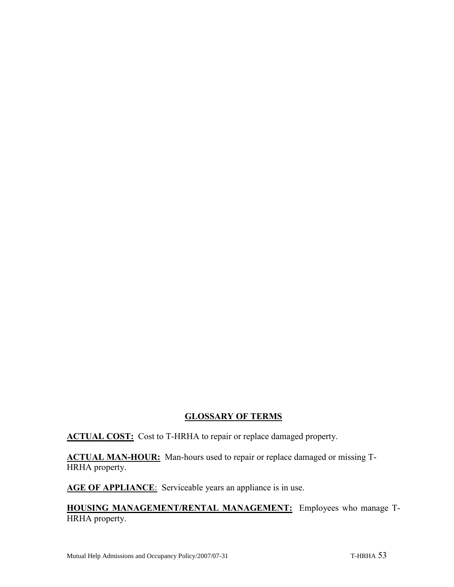#### **GLOSSARY OF TERMS**

**ACTUAL COST:** Cost to T-HRHA to repair or replace damaged property.

**ACTUAL MAN-HOUR:** Man-hours used to repair or replace damaged or missing T-HRHA property.

AGE OF APPLIANCE: Serviceable years an appliance is in use.

**HOUSING MANAGEMENT/RENTAL MANAGEMENT:** Employees who manage T-HRHA property.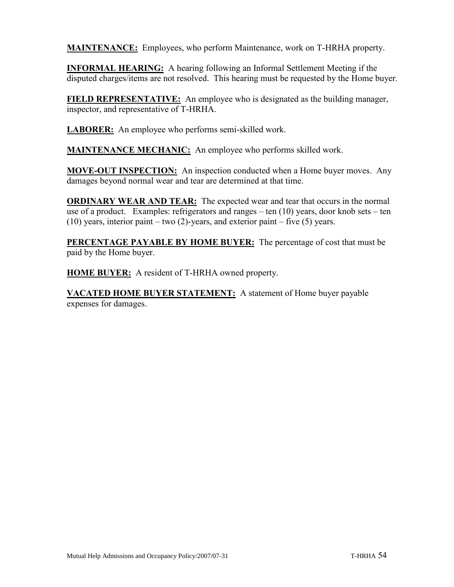**MAINTENANCE:** Employees, who perform Maintenance, work on T-HRHA property.

**INFORMAL HEARING:** A hearing following an Informal Settlement Meeting if the disputed charges/items are not resolved. This hearing must be requested by the Home buyer.

**FIELD REPRESENTATIVE:** An employee who is designated as the building manager, inspector, and representative of T-HRHA.

LABORER: An employee who performs semi-skilled work.

**MAINTENANCE MECHANIC:** An employee who performs skilled work.

**MOVE-OUT INSPECTION:** An inspection conducted when a Home buyer moves. Any damages beyond normal wear and tear are determined at that time.

**ORDINARY WEAR AND TEAR:** The expected wear and tear that occurs in the normal use of a product. Examples: refrigerators and ranges – ten (10) years, door knob sets – ten (10) years, interior paint – two  $(2)$ -years, and exterior paint – five  $(5)$  years.

**PERCENTAGE PAYABLE BY HOME BUYER:** The percentage of cost that must be paid by the Home buyer.

**HOME BUYER:** A resident of T-HRHA owned property.

**VACATED HOME BUYER STATEMENT:** A statement of Home buyer payable expenses for damages.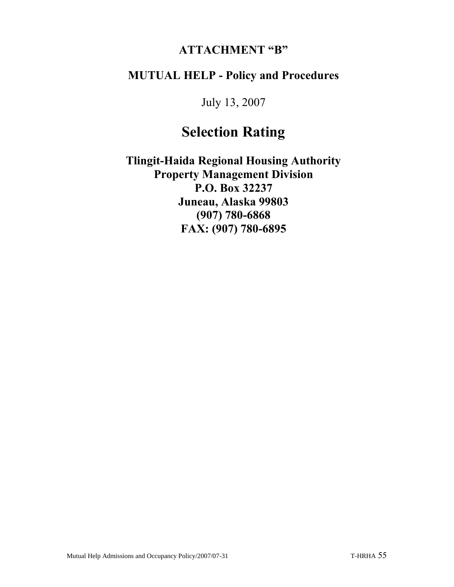## **ATTACHMENT "B"**

# **MUTUAL HELP - Policy and Procedures**

July 13, 2007

# **Selection Rating**

**Tlingit-Haida Regional Housing Authority Property Management Division P.O. Box 32237 Juneau, Alaska 99803 (907) 780-6868 FAX: (907) 780-6895**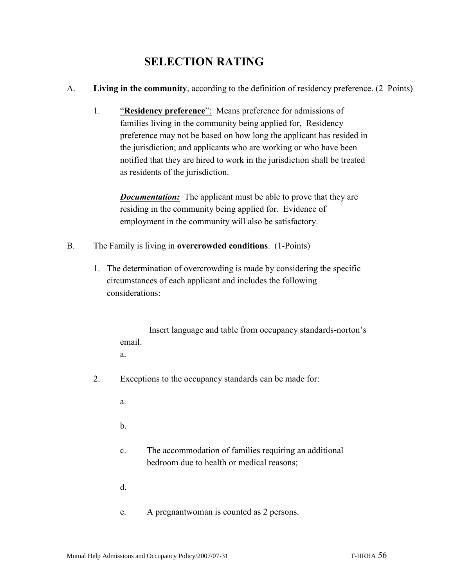# **SELECTION RATING**

- A. **Living in the community**, according to the definition of residency preference. (2–Points)
	- 1. "**Residency preference**": Means preference for admissions of families living in the community being applied for, Residency preference may not be based on how long the applicant has resided in the jurisdiction; and applicants who are working or who have been notified that they are hired to work in the jurisdiction shall be treated as residents of the jurisdiction.

*Documentation:* The applicant must be able to prove that they are residing in the community being applied for. Evidence of employment in the community will also be satisfactory.

- B. The Family is living in **overcrowded conditions**. (1-Points)
	- 1. The determination of overcrowding is made by considering the specific circumstances of each applicant and includes the following considerations:

Insert language and table from occupancy standards-norton's email.

a.

- 2. Exceptions to the occupancy standards can be made for:
	- a.

b.

- c. The accommodation of families requiring an additional bedroom due to health or medical reasons;
- d.
- e. A pregnantwoman is counted as 2 persons.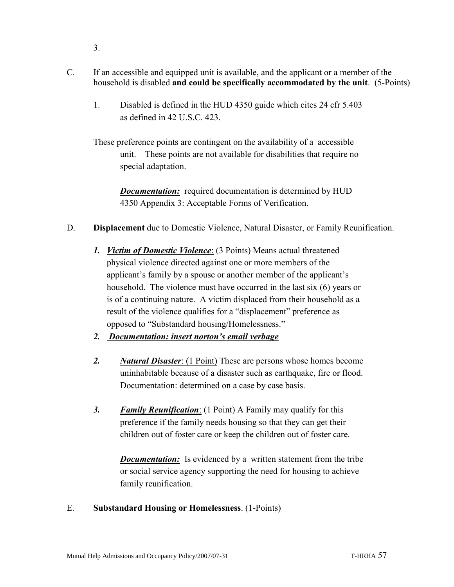- 3.
- C. If an accessible and equipped unit is available, and the applicant or a member of the household is disabled **and could be specifically accommodated by the unit**. (5-Points)
	- 1. Disabled is defined in the HUD 4350 guide which cites 24 cfr 5.403 as defined in 42 U.S.C. 423.
	- These preference points are contingent on the availability of a accessible unit. These points are not available for disabilities that require no special adaptation.

*Documentation:* required documentation is determined by HUD 4350 Appendix 3: Acceptable Forms of Verification.

- D. **Displacement** due to Domestic Violence, Natural Disaster, or Family Reunification.
	- *1. Victim of Domestic Violence*: (3 Points) Means actual threatened physical violence directed against one or more members of the applicant's family by a spouse or another member of the applicant's household. The violence must have occurred in the last six (6) years or is of a continuing nature. A victim displaced from their household as a result of the violence qualifies for a "displacement" preference as opposed to "Substandard housing/Homelessness."
	- *2. Documentation: insert norton's email verbage*
	- *2. Natural Disaster*: (1 Point) These are persons whose homes become uninhabitable because of a disaster such as earthquake, fire or flood. Documentation: determined on a case by case basis.
	- *3. Family Reunification*: (1 Point) A Family may qualify for this preference if the family needs housing so that they can get their children out of foster care or keep the children out of foster care.

*Documentation:* Is evidenced by a written statement from the tribe or social service agency supporting the need for housing to achieve family reunification.

#### E. **Substandard Housing or Homelessness**. (1-Points)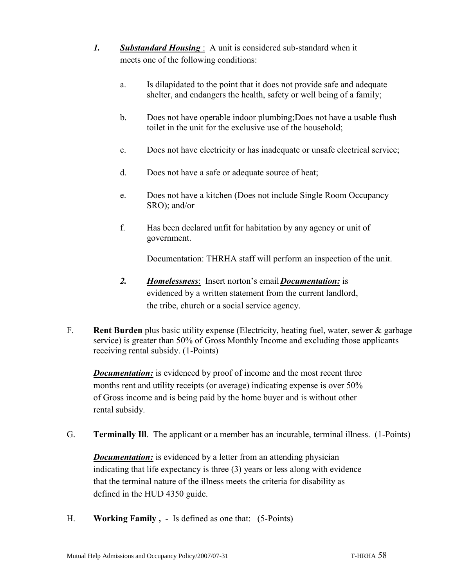- *1. Substandard Housing* : A unit is considered sub-standard when it meets one of the following conditions:
	- a. Is dilapidated to the point that it does not provide safe and adequate shelter, and endangers the health, safety or well being of a family;
	- b. Does not have operable indoor plumbing;Does not have a usable flush toilet in the unit for the exclusive use of the household;
	- c. Does not have electricity or has inadequate or unsafe electrical service;
	- d. Does not have a safe or adequate source of heat;
	- e. Does not have a kitchen (Does not include Single Room Occupancy SRO); and/or
	- f. Has been declared unfit for habitation by any agency or unit of government.

Documentation: THRHA staff will perform an inspection of the unit.

- *2. Homelessness*: Insert norton's email*Documentation:* is evidenced by a written statement from the current landlord, the tribe, church or a social service agency.
- F. **Rent Burden** plus basic utility expense (Electricity, heating fuel, water, sewer & garbage service) is greater than 50% of Gross Monthly Income and excluding those applicants receiving rental subsidy. (1-Points)

*Documentation:* is evidenced by proof of income and the most recent three months rent and utility receipts (or average) indicating expense is over 50% of Gross income and is being paid by the home buyer and is without other rental subsidy.

G. **Terminally Ill**. The applicant or a member has an incurable, terminal illness. (1-Points)

*Documentation:* is evidenced by a letter from an attending physician indicating that life expectancy is three (3) years or less along with evidence that the terminal nature of the illness meets the criteria for disability as defined in the HUD 4350 guide.

H. **Working Family ,** - Is defined as one that: (5-Points)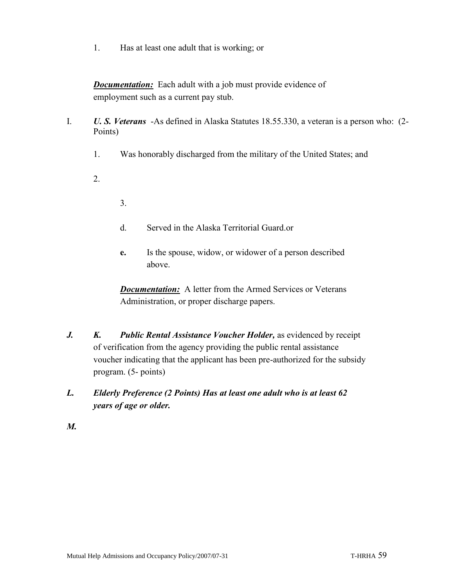1. Has at least one adult that is working; or

*Documentation:* Each adult with a job must provide evidence of employment such as a current pay stub.

- I. *U. S. Veterans* -As defined in Alaska Statutes 18.55.330, a veteran is a person who: (2- Points)
	- 1. Was honorably discharged from the military of the United States; and
	- 2.
- 3.
- d. Served in the Alaska Territorial Guard.or
- **e.** Is the spouse, widow, or widower of a person described above.

*Documentation:* A letter from the Armed Services or Veterans Administration, or proper discharge papers.

- *J. K. Public Rental Assistance Voucher Holder,* as evidenced by receipt of verification from the agency providing the public rental assistance voucher indicating that the applicant has been pre-authorized for the subsidy program. (5- points)
- *L. Elderly Preference (2 Points) Has at least one adult who is at least 62 years of age or older.*
- *M.*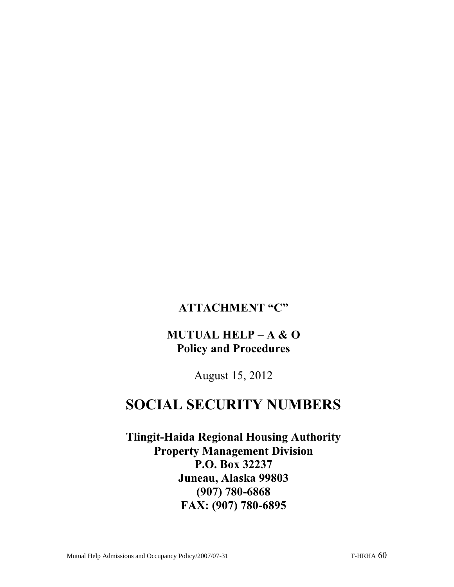## **ATTACHMENT "C"**

# **MUTUAL HELP – A & O Policy and Procedures**

August 15, 2012

# **SOCIAL SECURITY NUMBERS**

**Tlingit-Haida Regional Housing Authority Property Management Division P.O. Box 32237 Juneau, Alaska 99803 (907) 780-6868 FAX: (907) 780-6895**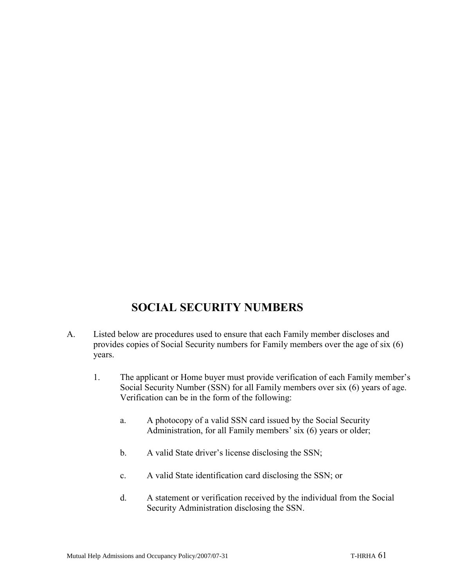# **SOCIAL SECURITY NUMBERS**

- A. Listed below are procedures used to ensure that each Family member discloses and provides copies of Social Security numbers for Family members over the age of six (6) years.
	- 1. The applicant or Home buyer must provide verification of each Family member's Social Security Number (SSN) for all Family members over six (6) years of age. Verification can be in the form of the following:
		- a. A photocopy of a valid SSN card issued by the Social Security Administration, for all Family members' six (6) years or older;
		- b. A valid State driver's license disclosing the SSN;
		- c. A valid State identification card disclosing the SSN; or
		- d. A statement or verification received by the individual from the Social Security Administration disclosing the SSN.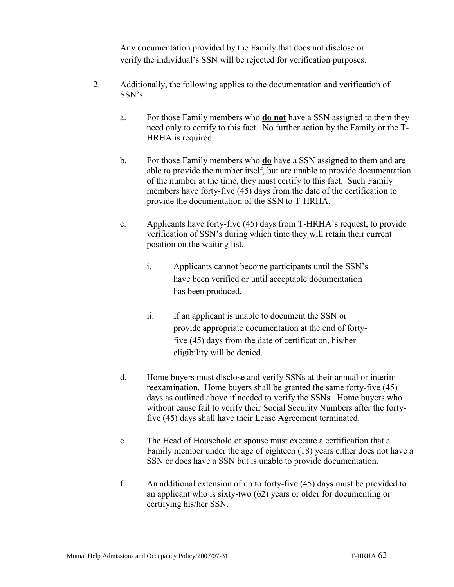Any documentation provided by the Family that does not disclose or verify the individual's SSN will be rejected for verification purposes.

- 2. Additionally, the following applies to the documentation and verification of SSN's:
	- a. For those Family members who **do not** have a SSN assigned to them they need only to certify to this fact. No further action by the Family or the T-HRHA is required.
	- b. For those Family members who **do** have a SSN assigned to them and are able to provide the number itself, but are unable to provide documentation of the number at the time, they must certify to this fact. Such Family members have forty-five (45) days from the date of the certification to provide the documentation of the SSN to T-HRHA.
	- c. Applicants have forty-five (45) days from T-HRHA's request, to provide verification of SSN's during which time they will retain their current position on the waiting list.
		- i. Applicants cannot become participants until the SSN's have been verified or until acceptable documentation has been produced.
		- ii. If an applicant is unable to document the SSN or provide appropriate documentation at the end of fortyfive (45) days from the date of certification, his/her eligibility will be denied.
	- d. Home buyers must disclose and verify SSNs at their annual or interim reexamination. Home buyers shall be granted the same forty-five (45) days as outlined above if needed to verify the SSNs. Home buyers who without cause fail to verify their Social Security Numbers after the fortyfive (45) days shall have their Lease Agreement terminated.
	- e. The Head of Household or spouse must execute a certification that a Family member under the age of eighteen (18) years either does not have a SSN or does have a SSN but is unable to provide documentation.
	- f. An additional extension of up to forty-five (45) days must be provided to an applicant who is sixty-two (62) years or older for documenting or certifying his/her SSN.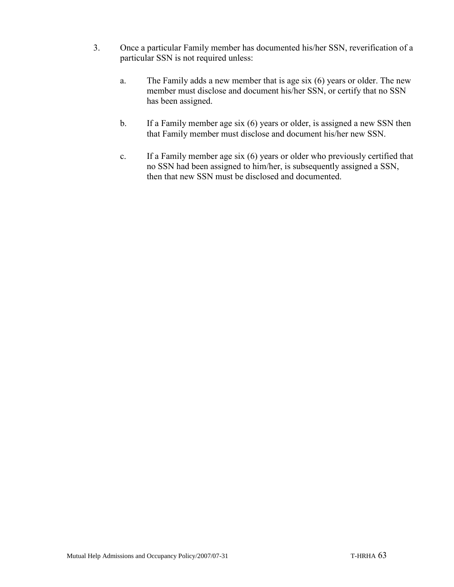- 3. Once a particular Family member has documented his/her SSN, reverification of a particular SSN is not required unless:
	- a. The Family adds a new member that is age six (6) years or older. The new member must disclose and document his/her SSN, or certify that no SSN has been assigned.
	- b. If a Family member age six (6) years or older, is assigned a new SSN then that Family member must disclose and document his/her new SSN.
	- c. If a Family member age six (6) years or older who previously certified that no SSN had been assigned to him/her, is subsequently assigned a SSN, then that new SSN must be disclosed and documented.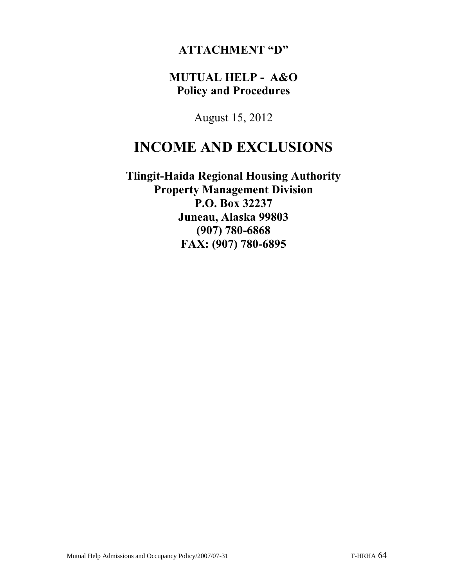### **ATTACHMENT "D"**

### **MUTUAL HELP - A&O Policy and Procedures**

August 15, 2012

# **INCOME AND EXCLUSIONS**

**Tlingit-Haida Regional Housing Authority Property Management Division P.O. Box 32237 Juneau, Alaska 99803 (907) 780-6868 FAX: (907) 780-6895**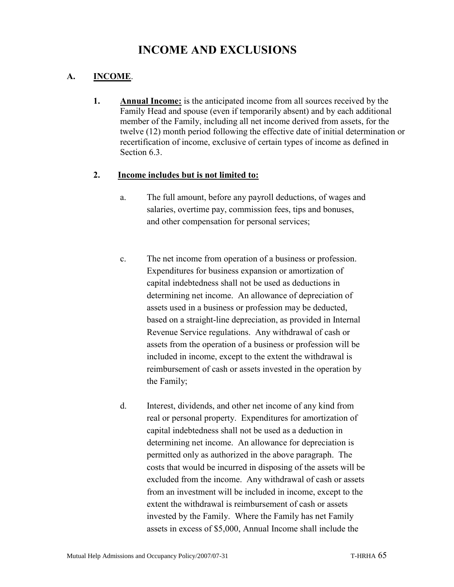## **INCOME AND EXCLUSIONS**

#### **A. INCOME**.

**1. Annual Income:** is the anticipated income from all sources received by the Family Head and spouse (even if temporarily absent) and by each additional member of the Family, including all net income derived from assets, for the twelve (12) month period following the effective date of initial determination or recertification of income, exclusive of certain types of income as defined in Section 6.3.

#### **2. Income includes but is not limited to:**

- a. The full amount, before any payroll deductions, of wages and salaries, overtime pay, commission fees, tips and bonuses, and other compensation for personal services;
- c. The net income from operation of a business or profession. Expenditures for business expansion or amortization of capital indebtedness shall not be used as deductions in determining net income. An allowance of depreciation of assets used in a business or profession may be deducted, based on a straight-line depreciation, as provided in Internal Revenue Service regulations. Any withdrawal of cash or assets from the operation of a business or profession will be included in income, except to the extent the withdrawal is reimbursement of cash or assets invested in the operation by the Family;
- d. Interest, dividends, and other net income of any kind from real or personal property. Expenditures for amortization of capital indebtedness shall not be used as a deduction in determining net income. An allowance for depreciation is permitted only as authorized in the above paragraph. The costs that would be incurred in disposing of the assets will be excluded from the income. Any withdrawal of cash or assets from an investment will be included in income, except to the extent the withdrawal is reimbursement of cash or assets invested by the Family. Where the Family has net Family assets in excess of \$5,000, Annual Income shall include the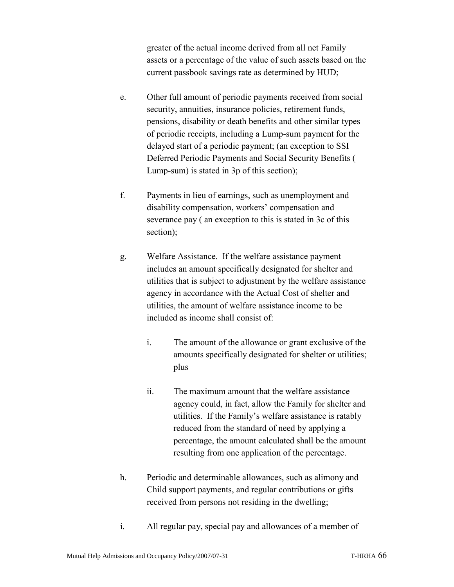greater of the actual income derived from all net Family assets or a percentage of the value of such assets based on the current passbook savings rate as determined by HUD;

- e. Other full amount of periodic payments received from social security, annuities, insurance policies, retirement funds, pensions, disability or death benefits and other similar types of periodic receipts, including a Lump-sum payment for the delayed start of a periodic payment; (an exception to SSI Deferred Periodic Payments and Social Security Benefits ( Lump-sum) is stated in 3p of this section);
- f. Payments in lieu of earnings, such as unemployment and disability compensation, workers' compensation and severance pay ( an exception to this is stated in 3c of this section);
- g. Welfare Assistance. If the welfare assistance payment includes an amount specifically designated for shelter and utilities that is subject to adjustment by the welfare assistance agency in accordance with the Actual Cost of shelter and utilities, the amount of welfare assistance income to be included as income shall consist of:
	- i. The amount of the allowance or grant exclusive of the amounts specifically designated for shelter or utilities; plus
	- ii. The maximum amount that the welfare assistance agency could, in fact, allow the Family for shelter and utilities. If the Family's welfare assistance is ratably reduced from the standard of need by applying a percentage, the amount calculated shall be the amount resulting from one application of the percentage.
- h. Periodic and determinable allowances, such as alimony and Child support payments, and regular contributions or gifts received from persons not residing in the dwelling;
- i. All regular pay, special pay and allowances of a member of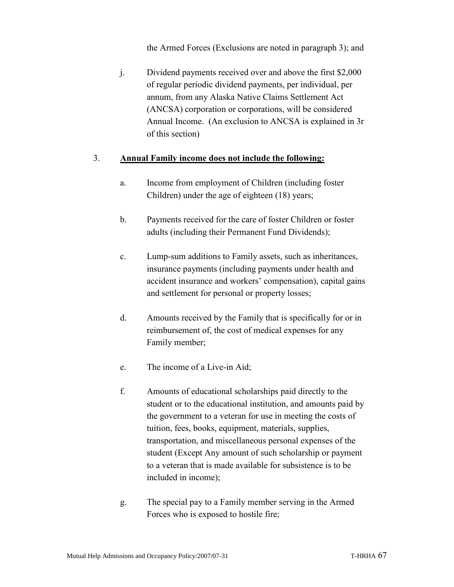the Armed Forces (Exclusions are noted in paragraph 3); and

j. Dividend payments received over and above the first \$2,000 of regular periodic dividend payments, per individual, per annum, from any Alaska Native Claims Settlement Act (ANCSA) corporation or corporations, will be considered Annual Income. (An exclusion to ANCSA is explained in 3r of this section)

#### 3. **Annual Family income does not include the following:**

- a. Income from employment of Children (including foster Children) under the age of eighteen (18) years;
- b. Payments received for the care of foster Children or foster adults (including their Permanent Fund Dividends);
- c. Lump-sum additions to Family assets, such as inheritances, insurance payments (including payments under health and accident insurance and workers' compensation), capital gains and settlement for personal or property losses;
- d. Amounts received by the Family that is specifically for or in reimbursement of, the cost of medical expenses for any Family member;
- e. The income of a Live-in Aid;
- f. Amounts of educational scholarships paid directly to the student or to the educational institution, and amounts paid by the government to a veteran for use in meeting the costs of tuition, fees, books, equipment, materials, supplies, transportation, and miscellaneous personal expenses of the student (Except Any amount of such scholarship or payment to a veteran that is made available for subsistence is to be included in income);
- g. The special pay to a Family member serving in the Armed Forces who is exposed to hostile fire;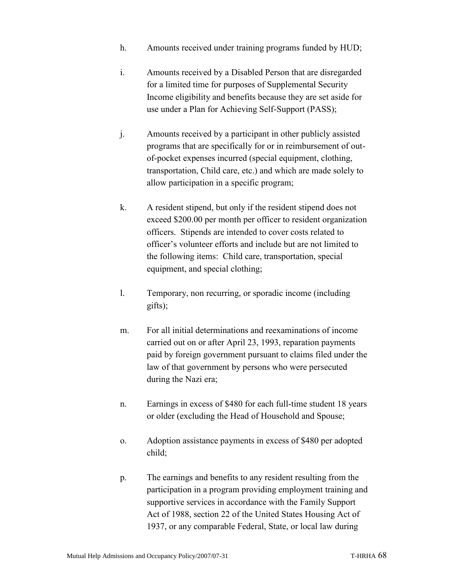- h. Amounts received under training programs funded by HUD;
- i. Amounts received by a Disabled Person that are disregarded for a limited time for purposes of Supplemental Security Income eligibility and benefits because they are set aside for use under a Plan for Achieving Self-Support (PASS);
- j. Amounts received by a participant in other publicly assisted programs that are specifically for or in reimbursement of outof-pocket expenses incurred (special equipment, clothing, transportation, Child care, etc.) and which are made solely to allow participation in a specific program;
- k. A resident stipend, but only if the resident stipend does not exceed \$200.00 per month per officer to resident organization officers. Stipends are intended to cover costs related to officer's volunteer efforts and include but are not limited to the following items: Child care, transportation, special equipment, and special clothing;
- l. Temporary, non recurring, or sporadic income (including gifts);
- m. For all initial determinations and reexaminations of income carried out on or after April 23, 1993, reparation payments paid by foreign government pursuant to claims filed under the law of that government by persons who were persecuted during the Nazi era;
- n. Earnings in excess of \$480 for each full-time student 18 years or older (excluding the Head of Household and Spouse;
- o. Adoption assistance payments in excess of \$480 per adopted child;
- p. The earnings and benefits to any resident resulting from the participation in a program providing employment training and supportive services in accordance with the Family Support Act of 1988, section 22 of the United States Housing Act of 1937, or any comparable Federal, State, or local law during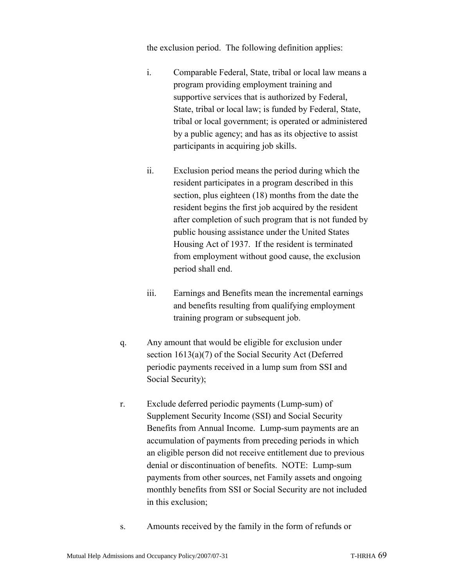the exclusion period. The following definition applies:

- i. Comparable Federal, State, tribal or local law means a program providing employment training and supportive services that is authorized by Federal, State, tribal or local law; is funded by Federal, State, tribal or local government; is operated or administered by a public agency; and has as its objective to assist participants in acquiring job skills.
- ii. Exclusion period means the period during which the resident participates in a program described in this section, plus eighteen (18) months from the date the resident begins the first job acquired by the resident after completion of such program that is not funded by public housing assistance under the United States Housing Act of 1937. If the resident is terminated from employment without good cause, the exclusion period shall end.
- iii. Earnings and Benefits mean the incremental earnings and benefits resulting from qualifying employment training program or subsequent job.
- q. Any amount that would be eligible for exclusion under section 1613(a)(7) of the Social Security Act (Deferred periodic payments received in a lump sum from SSI and Social Security);
- r. Exclude deferred periodic payments (Lump-sum) of Supplement Security Income (SSI) and Social Security Benefits from Annual Income. Lump-sum payments are an accumulation of payments from preceding periods in which an eligible person did not receive entitlement due to previous denial or discontinuation of benefits. NOTE: Lump-sum payments from other sources, net Family assets and ongoing monthly benefits from SSI or Social Security are not included in this exclusion;
- s. Amounts received by the family in the form of refunds or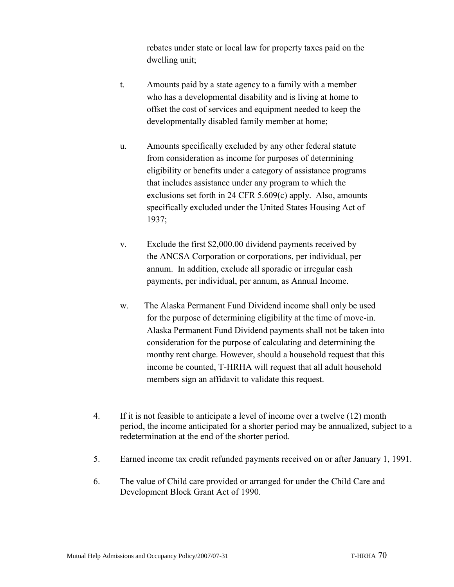rebates under state or local law for property taxes paid on the dwelling unit;

- t. Amounts paid by a state agency to a family with a member who has a developmental disability and is living at home to offset the cost of services and equipment needed to keep the developmentally disabled family member at home;
- u. Amounts specifically excluded by any other federal statute from consideration as income for purposes of determining eligibility or benefits under a category of assistance programs that includes assistance under any program to which the exclusions set forth in 24 CFR 5.609(c) apply. Also, amounts specifically excluded under the United States Housing Act of 1937;
- v. Exclude the first \$2,000.00 dividend payments received by the ANCSA Corporation or corporations, per individual, per annum. In addition, exclude all sporadic or irregular cash payments, per individual, per annum, as Annual Income.
- w. The Alaska Permanent Fund Dividend income shall only be used for the purpose of determining eligibility at the time of move-in. Alaska Permanent Fund Dividend payments shall not be taken into consideration for the purpose of calculating and determining the monthy rent charge. However, should a household request that this income be counted, T-HRHA will request that all adult household members sign an affidavit to validate this request.
- 4. If it is not feasible to anticipate a level of income over a twelve (12) month period, the income anticipated for a shorter period may be annualized, subject to a redetermination at the end of the shorter period.
- 5. Earned income tax credit refunded payments received on or after January 1, 1991.
- 6. The value of Child care provided or arranged for under the Child Care and Development Block Grant Act of 1990.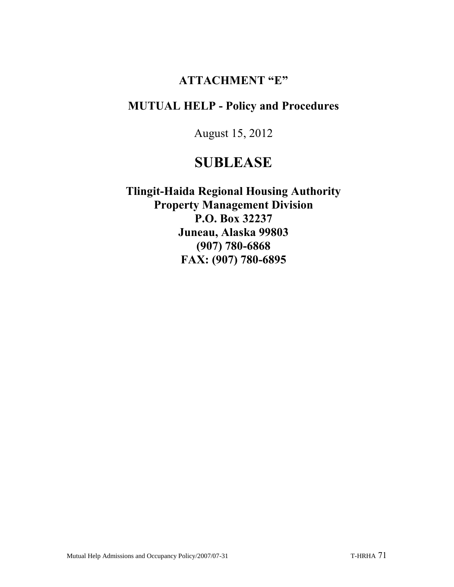### **ATTACHMENT "E"**

### **MUTUAL HELP - Policy and Procedures**

August 15, 2012

# **SUBLEASE**

**Tlingit-Haida Regional Housing Authority Property Management Division P.O. Box 32237 Juneau, Alaska 99803 (907) 780-6868 FAX: (907) 780-6895**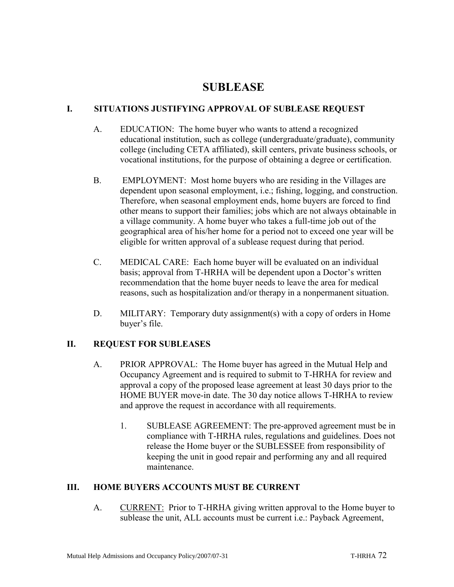### **SUBLEASE**

#### **I. SITUATIONS JUSTIFYING APPROVAL OF SUBLEASE REQUEST**

- A. EDUCATION: The home buyer who wants to attend a recognized educational institution, such as college (undergraduate/graduate), community college (including CETA affiliated), skill centers, private business schools, or vocational institutions, for the purpose of obtaining a degree or certification.
- B. EMPLOYMENT: Most home buyers who are residing in the Villages are dependent upon seasonal employment, i.e.; fishing, logging, and construction. Therefore, when seasonal employment ends, home buyers are forced to find other means to support their families; jobs which are not always obtainable in a village community. A home buyer who takes a full-time job out of the geographical area of his/her home for a period not to exceed one year will be eligible for written approval of a sublease request during that period.
- C. MEDICAL CARE: Each home buyer will be evaluated on an individual basis; approval from T-HRHA will be dependent upon a Doctor's written recommendation that the home buyer needs to leave the area for medical reasons, such as hospitalization and/or therapy in a nonpermanent situation.
- D. MILITARY: Temporary duty assignment(s) with a copy of orders in Home buyer's file.

#### **II. REQUEST FOR SUBLEASES**

- A. PRIOR APPROVAL: The Home buyer has agreed in the Mutual Help and Occupancy Agreement and is required to submit to T-HRHA for review and approval a copy of the proposed lease agreement at least 30 days prior to the HOME BUYER move-in date. The 30 day notice allows T-HRHA to review and approve the request in accordance with all requirements.
	- 1. SUBLEASE AGREEMENT: The pre-approved agreement must be in compliance with T-HRHA rules, regulations and guidelines. Does not release the Home buyer or the SUBLESSEE from responsibility of keeping the unit in good repair and performing any and all required maintenance.

#### **III. HOME BUYERS ACCOUNTS MUST BE CURRENT**

A. CURRENT: Prior to T-HRHA giving written approval to the Home buyer to sublease the unit, ALL accounts must be current i.e.: Payback Agreement,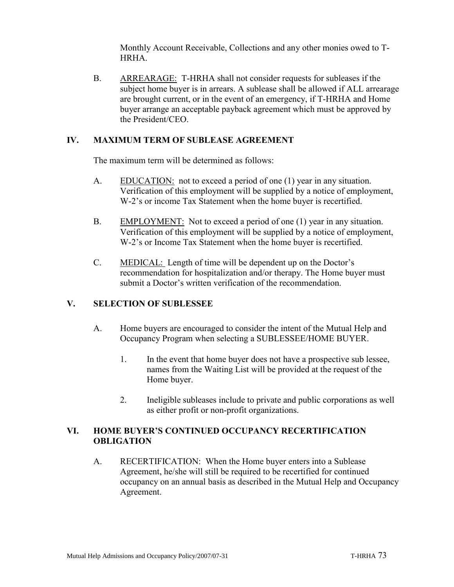Monthly Account Receivable, Collections and any other monies owed to T-HRHA.

B. ARREARAGE: T-HRHA shall not consider requests for subleases if the subject home buyer is in arrears. A sublease shall be allowed if ALL arrearage are brought current, or in the event of an emergency, if T-HRHA and Home buyer arrange an acceptable payback agreement which must be approved by the President/CEO.

### **IV. MAXIMUM TERM OF SUBLEASE AGREEMENT**

The maximum term will be determined as follows:

- A. EDUCATION: not to exceed a period of one (1) year in any situation. Verification of this employment will be supplied by a notice of employment, W-2's or income Tax Statement when the home buyer is recertified.
- B. EMPLOYMENT: Not to exceed a period of one (1) year in any situation. Verification of this employment will be supplied by a notice of employment, W-2's or Income Tax Statement when the home buyer is recertified.
- C. MEDICAL: Length of time will be dependent up on the Doctor's recommendation for hospitalization and/or therapy. The Home buyer must submit a Doctor's written verification of the recommendation.

# **V. SELECTION OF SUBLESSEE**

- A. Home buyers are encouraged to consider the intent of the Mutual Help and Occupancy Program when selecting a SUBLESSEE/HOME BUYER.
	- 1. In the event that home buyer does not have a prospective sub lessee, names from the Waiting List will be provided at the request of the Home buyer.
	- 2. Ineligible subleases include to private and public corporations as well as either profit or non-profit organizations.

# **VI. HOME BUYER'S CONTINUED OCCUPANCY RECERTIFICATION OBLIGATION**

A. RECERTIFICATION: When the Home buyer enters into a Sublease Agreement, he/she will still be required to be recertified for continued occupancy on an annual basis as described in the Mutual Help and Occupancy Agreement.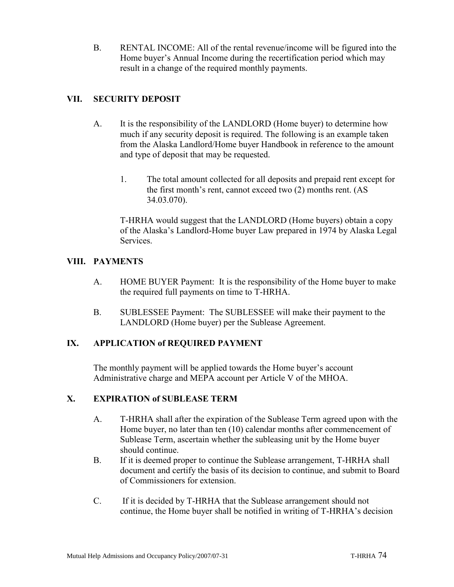B. RENTAL INCOME: All of the rental revenue/income will be figured into the Home buyer's Annual Income during the recertification period which may result in a change of the required monthly payments.

# **VII. SECURITY DEPOSIT**

- A. It is the responsibility of the LANDLORD (Home buyer) to determine how much if any security deposit is required. The following is an example taken from the Alaska Landlord/Home buyer Handbook in reference to the amount and type of deposit that may be requested.
	- 1. The total amount collected for all deposits and prepaid rent except for the first month's rent, cannot exceed two (2) months rent. (AS 34.03.070).

T-HRHA would suggest that the LANDLORD (Home buyers) obtain a copy of the Alaska's Landlord-Home buyer Law prepared in 1974 by Alaska Legal Services.

# **VIII. PAYMENTS**

- A. HOME BUYER Payment: It is the responsibility of the Home buyer to make the required full payments on time to T-HRHA.
- B. SUBLESSEE Payment: The SUBLESSEE will make their payment to the LANDLORD (Home buyer) per the Sublease Agreement.

# **IX. APPLICATION of REQUIRED PAYMENT**

The monthly payment will be applied towards the Home buyer's account Administrative charge and MEPA account per Article V of the MHOA.

# **X. EXPIRATION of SUBLEASE TERM**

- A. T-HRHA shall after the expiration of the Sublease Term agreed upon with the Home buyer, no later than ten (10) calendar months after commencement of Sublease Term, ascertain whether the subleasing unit by the Home buyer should continue.
- B. If it is deemed proper to continue the Sublease arrangement, T-HRHA shall document and certify the basis of its decision to continue, and submit to Board of Commissioners for extension.
- C. If it is decided by T-HRHA that the Sublease arrangement should not continue, the Home buyer shall be notified in writing of T-HRHA's decision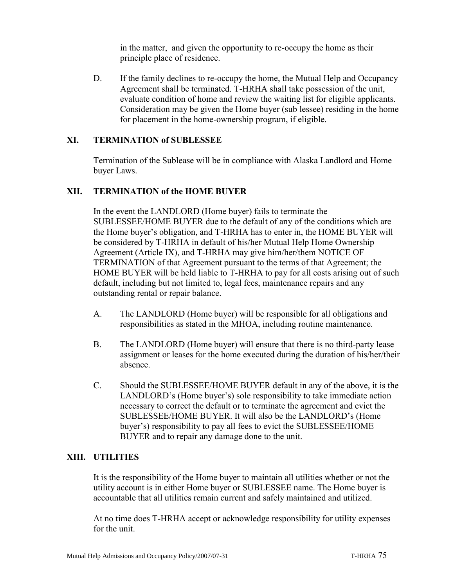in the matter, and given the opportunity to re-occupy the home as their principle place of residence.

D. If the family declines to re-occupy the home, the Mutual Help and Occupancy Agreement shall be terminated. T-HRHA shall take possession of the unit, evaluate condition of home and review the waiting list for eligible applicants. Consideration may be given the Home buyer (sub lessee) residing in the home for placement in the home-ownership program, if eligible.

### **XI. TERMINATION of SUBLESSEE**

Termination of the Sublease will be in compliance with Alaska Landlord and Home buyer Laws.

#### **XII. TERMINATION of the HOME BUYER**

In the event the LANDLORD (Home buyer) fails to terminate the SUBLESSEE/HOME BUYER due to the default of any of the conditions which are the Home buyer's obligation, and T-HRHA has to enter in, the HOME BUYER will be considered by T-HRHA in default of his/her Mutual Help Home Ownership Agreement (Article IX), and T-HRHA may give him/her/them NOTICE OF TERMINATION of that Agreement pursuant to the terms of that Agreement; the HOME BUYER will be held liable to T-HRHA to pay for all costs arising out of such default, including but not limited to, legal fees, maintenance repairs and any outstanding rental or repair balance.

- A. The LANDLORD (Home buyer) will be responsible for all obligations and responsibilities as stated in the MHOA, including routine maintenance.
- B. The LANDLORD (Home buyer) will ensure that there is no third-party lease assignment or leases for the home executed during the duration of his/her/their absence.
- C. Should the SUBLESSEE/HOME BUYER default in any of the above, it is the LANDLORD's (Home buyer's) sole responsibility to take immediate action necessary to correct the default or to terminate the agreement and evict the SUBLESSEE/HOME BUYER. It will also be the LANDLORD's (Home buyer's) responsibility to pay all fees to evict the SUBLESSEE/HOME BUYER and to repair any damage done to the unit.

#### **XIII. UTILITIES**

It is the responsibility of the Home buyer to maintain all utilities whether or not the utility account is in either Home buyer or SUBLESSEE name. The Home buyer is accountable that all utilities remain current and safely maintained and utilized.

At no time does T-HRHA accept or acknowledge responsibility for utility expenses for the unit.